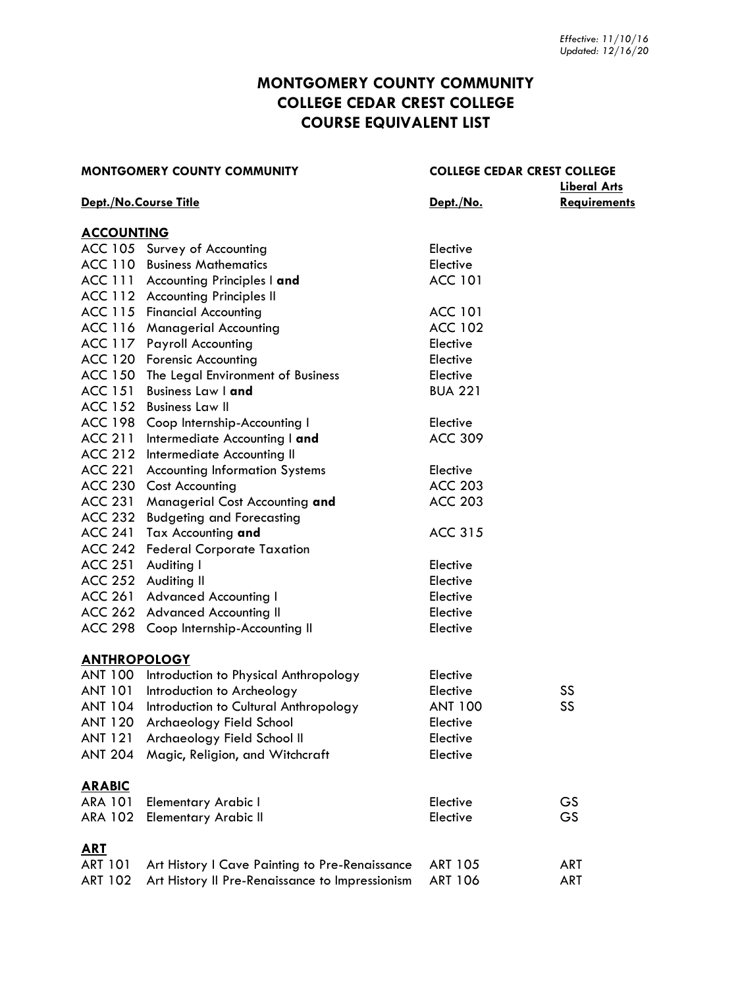# **MONTGOMERY COUNTY COMMUNITY COLLEGE CEDAR CREST COLLEGE COURSE EQUIVALENT LIST**

| <b>MONTGOMERY COUNTY COMMUNITY</b> |                                                 | <b>COLLEGE CEDAR CREST COLLEGE</b> |                     |
|------------------------------------|-------------------------------------------------|------------------------------------|---------------------|
|                                    |                                                 |                                    | <b>Liberal Arts</b> |
|                                    | Dept./No.Course Title                           | <u>Dept./No.</u>                   | <b>Requirements</b> |
| <b>ACCOUNTING</b>                  |                                                 |                                    |                     |
|                                    | ACC 105 Survey of Accounting                    | Elective                           |                     |
|                                    | <b>ACC 110 Business Mathematics</b>             | Elective                           |                     |
|                                    | ACC 111 Accounting Principles I and             | <b>ACC 101</b>                     |                     |
|                                    | ACC 112 Accounting Principles II                |                                    |                     |
|                                    | ACC 115 Financial Accounting                    | <b>ACC 101</b>                     |                     |
|                                    | ACC 116 Managerial Accounting                   | <b>ACC 102</b>                     |                     |
|                                    | ACC 117 Payroll Accounting                      | Elective                           |                     |
|                                    | ACC 120 Forensic Accounting                     | Elective                           |                     |
|                                    | ACC 150 The Legal Environment of Business       | Elective                           |                     |
| <b>ACC 151</b>                     | <b>Business Law I and</b>                       | <b>BUA 221</b>                     |                     |
| <b>ACC 152</b>                     | <b>Business Law II</b>                          |                                    |                     |
|                                    | ACC 198 Coop Internship-Accounting I            | Elective                           |                     |
| <b>ACC 211</b>                     | Intermediate Accounting I and                   | <b>ACC 309</b>                     |                     |
|                                    | ACC 212 Intermediate Accounting II              |                                    |                     |
| <b>ACC 221</b>                     | <b>Accounting Information Systems</b>           | Elective                           |                     |
| <b>ACC 230</b>                     | <b>Cost Accounting</b>                          | <b>ACC 203</b>                     |                     |
| <b>ACC 231</b>                     | Managerial Cost Accounting and                  | <b>ACC 203</b>                     |                     |
| <b>ACC 232</b>                     | <b>Budgeting and Forecasting</b>                |                                    |                     |
| <b>ACC 241</b>                     | Tax Accounting and                              | <b>ACC 315</b>                     |                     |
|                                    | ACC 242 Federal Corporate Taxation              |                                    |                     |
|                                    | ACC 251 Auditing I                              | Elective                           |                     |
|                                    | ACC 252 Auditing II                             | Elective                           |                     |
| <b>ACC 261</b>                     | <b>Advanced Accounting I</b>                    | Elective                           |                     |
|                                    | ACC 262 Advanced Accounting II                  | Elective                           |                     |
|                                    | ACC 298 Coop Internship-Accounting II           | Elective                           |                     |
| <b>ANTHROPOLOGY</b>                |                                                 |                                    |                     |
|                                    | ANT 100 Introduction to Physical Anthropology   | Elective                           |                     |
| <b>ANT 101</b>                     | Introduction to Archeology                      | Elective                           | SS                  |
|                                    | ANT 104 Introduction to Cultural Anthropology   | ANT 100                            | SS                  |
| <b>ANT 120</b>                     | Archaeology Field School                        | Elective                           |                     |
| <b>ANT 121</b>                     | Archaeology Field School II                     | Elective                           |                     |
| <b>ANT 204</b>                     | Magic, Religion, and Witchcraft                 | Elective                           |                     |
| <b>ARABIC</b>                      |                                                 |                                    |                     |
| <b>ARA 101</b>                     | <b>Elementary Arabic I</b>                      | Elective                           | GS                  |
| <b>ARA 102</b>                     | <b>Elementary Arabic II</b>                     | Elective                           | GS                  |
| <b>ART</b>                         |                                                 |                                    |                     |
| <b>ART 101</b>                     | Art History I Cave Painting to Pre-Renaissance  | <b>ART 105</b>                     | <b>ART</b>          |
| <b>ART 102</b>                     | Art History II Pre-Renaissance to Impressionism | ART 106                            | <b>ART</b>          |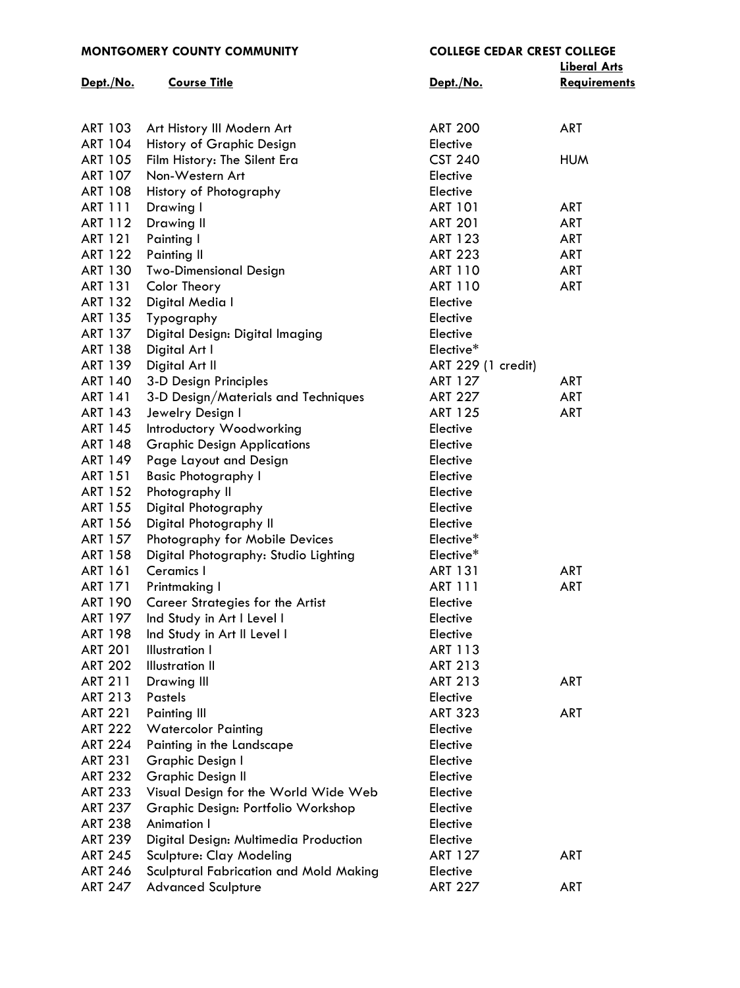| <b>MONTGOMERY COUNTY COMMUNITY</b> |                                        | <b>COLLEGE CEDAR CREST COLLEGE</b> |                     |  |
|------------------------------------|----------------------------------------|------------------------------------|---------------------|--|
|                                    |                                        |                                    | <b>Liberal Arts</b> |  |
| Dept./No.                          | <b>Course Title</b>                    | Dept./No.                          | <b>Requirements</b> |  |
|                                    |                                        |                                    |                     |  |
|                                    |                                        |                                    |                     |  |
| <b>ART 103</b>                     | Art History III Modern Art             | <b>ART 200</b>                     | <b>ART</b>          |  |
| <b>ART 104</b>                     | History of Graphic Design              | Elective                           |                     |  |
| <b>ART 105</b>                     | Film History: The Silent Era           | <b>CST 240</b>                     | <b>HUM</b>          |  |
| ART 107                            | Non-Western Art                        | Elective                           |                     |  |
| <b>ART 108</b>                     | History of Photography                 | Elective                           |                     |  |
| <b>ART 111</b>                     | Drawing I                              | <b>ART 101</b>                     | <b>ART</b>          |  |
| ART 112                            | Drawing II                             | <b>ART 201</b>                     | <b>ART</b>          |  |
| <b>ART 121</b>                     | Painting I                             | <b>ART 123</b>                     | <b>ART</b>          |  |
| <b>ART 122</b>                     | <b>Painting II</b>                     | <b>ART 223</b>                     | <b>ART</b>          |  |
| <b>ART 130</b>                     | <b>Two-Dimensional Design</b>          | <b>ART 110</b>                     | ART                 |  |
| <b>ART 131</b>                     | Color Theory                           | <b>ART 110</b>                     | <b>ART</b>          |  |
| <b>ART 132</b>                     | Digital Media I                        | Elective                           |                     |  |
| <b>ART 135</b>                     | Typography                             | Elective                           |                     |  |
| ART 137                            | Digital Design: Digital Imaging        | Elective                           |                     |  |
| <b>ART 138</b>                     | Digital Art I                          | Elective*                          |                     |  |
| <b>ART 139</b>                     | Digital Art II                         | ART 229 (1 credit)                 |                     |  |
| <b>ART 140</b>                     | 3-D Design Principles                  | <b>ART 127</b>                     | ART                 |  |
| <b>ART 141</b>                     | 3-D Design/Materials and Techniques    | <b>ART 227</b>                     | <b>ART</b>          |  |
| ART 143                            |                                        | <b>ART 125</b>                     | <b>ART</b>          |  |
|                                    | Jewelry Design I                       |                                    |                     |  |
| <b>ART 145</b>                     | Introductory Woodworking               | Elective                           |                     |  |
| <b>ART 148</b>                     | <b>Graphic Design Applications</b>     | Elective                           |                     |  |
| ART 149                            | Page Layout and Design                 | Elective                           |                     |  |
| <b>ART 151</b>                     | <b>Basic Photography I</b>             | Elective                           |                     |  |
| <b>ART 152</b>                     | Photography II                         | Elective                           |                     |  |
| <b>ART 155</b>                     | Digital Photography                    | Elective                           |                     |  |
| <b>ART 156</b>                     | Digital Photography II                 | Elective                           |                     |  |
| ART 157                            | Photography for Mobile Devices         | Elective*                          |                     |  |
| <b>ART 158</b>                     | Digital Photography: Studio Lighting   | Elective*                          |                     |  |
| <b>ART 161</b>                     | Ceramics I                             | <b>ART 131</b>                     | <b>ART</b>          |  |
| ART 171                            | Printmaking I                          | ART 111                            | ART                 |  |
| <b>ART 190</b>                     | Career Strategies for the Artist       | Elective                           |                     |  |
| <b>ART 197</b>                     | Ind Study in Art I Level I             | Elective                           |                     |  |
| <b>ART 198</b>                     | Ind Study in Art II Level I            | Elective                           |                     |  |
| <b>ART 201</b>                     | <b>Illustration I</b>                  | <b>ART 113</b>                     |                     |  |
| <b>ART 202</b>                     | <b>Illustration II</b>                 | <b>ART 213</b>                     |                     |  |
| <b>ART 211</b>                     | Drawing III                            | <b>ART 213</b>                     | <b>ART</b>          |  |
| <b>ART 213</b>                     | Pastels                                | Elective                           |                     |  |
| <b>ART 221</b>                     | <b>Painting III</b>                    | <b>ART 323</b>                     | <b>ART</b>          |  |
| <b>ART 222</b>                     | <b>Watercolor Painting</b>             | Elective                           |                     |  |
| <b>ART 224</b>                     | Painting in the Landscape              | Elective                           |                     |  |
| <b>ART 231</b>                     | Graphic Design I                       | Elective                           |                     |  |
| <b>ART 232</b>                     | <b>Graphic Design II</b>               | Elective                           |                     |  |
| <b>ART 233</b>                     | Visual Design for the World Wide Web   | Elective                           |                     |  |
| <b>ART 237</b>                     | Graphic Design: Portfolio Workshop     | Elective                           |                     |  |
| <b>ART 238</b>                     | <b>Animation I</b>                     | Elective                           |                     |  |
| <b>ART 239</b>                     | Digital Design: Multimedia Production  | Elective                           |                     |  |
| <b>ART 245</b>                     | Sculpture: Clay Modeling               | <b>ART 127</b>                     | <b>ART</b>          |  |
| <b>ART 246</b>                     | Sculptural Fabrication and Mold Making | Elective                           |                     |  |
| <b>ART 247</b>                     | <b>Advanced Sculpture</b>              | <b>ART 227</b>                     | <b>ART</b>          |  |
|                                    |                                        |                                    |                     |  |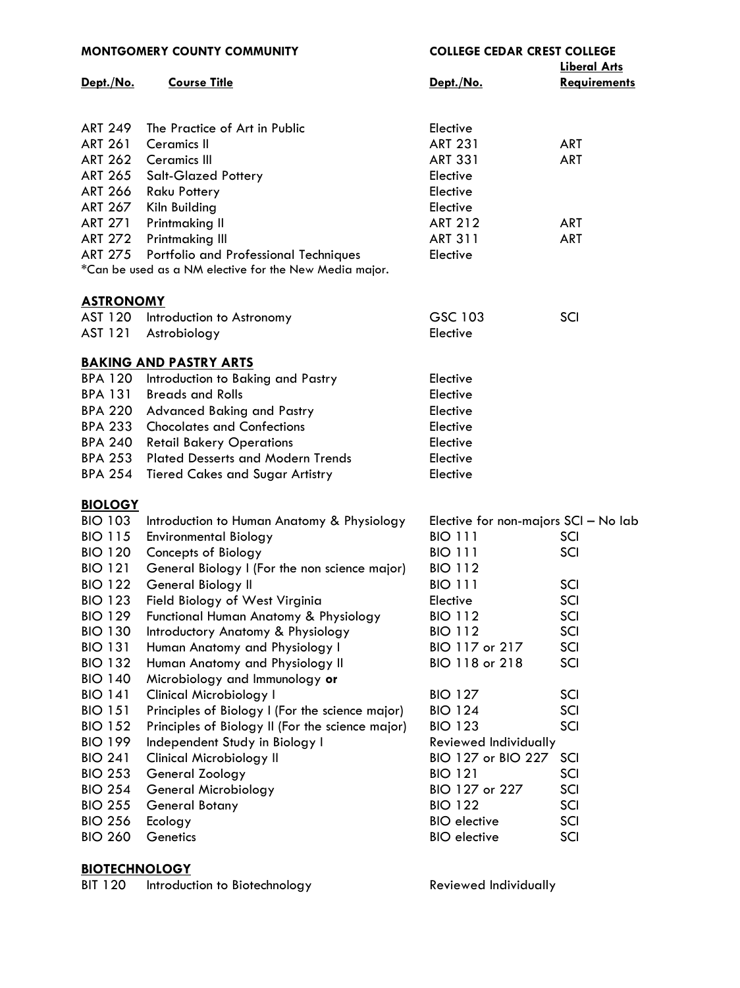|                  | <b>MONTGOMERY COUNTY COMMUNITY</b>                     | <b>COLLEGE CEDAR CREST COLLEGE</b>   |                     |
|------------------|--------------------------------------------------------|--------------------------------------|---------------------|
|                  |                                                        |                                      | <b>Liberal Arts</b> |
| Dept./No.        | <b>Course Title</b>                                    | Dept./No.                            | <b>Requirements</b> |
|                  |                                                        |                                      |                     |
|                  |                                                        |                                      |                     |
| <b>ART 249</b>   | The Practice of Art in Public                          | Elective                             |                     |
| <b>ART 261</b>   | <b>Ceramics II</b>                                     | <b>ART 231</b>                       | <b>ART</b>          |
| <b>ART 262</b>   | <b>Ceramics III</b>                                    | <b>ART 331</b>                       | <b>ART</b>          |
| <b>ART 265</b>   | <b>Salt-Glazed Pottery</b>                             | Elective                             |                     |
| <b>ART 266</b>   | Raku Pottery                                           | Elective                             |                     |
| <b>ART 267</b>   | Kiln Building                                          | Elective                             |                     |
| <b>ART 271</b>   | Printmaking II                                         | <b>ART 212</b>                       | <b>ART</b>          |
| <b>ART 272</b>   | Printmaking III                                        | <b>ART 311</b>                       | ART                 |
| <b>ART 275</b>   | Portfolio and Professional Techniques                  | Elective                             |                     |
|                  | *Can be used as a NM elective for the New Media major. |                                      |                     |
|                  |                                                        |                                      |                     |
| <b>ASTRONOMY</b> |                                                        |                                      |                     |
|                  | AST 120 Introduction to Astronomy                      | GSC 103                              | SCI                 |
| AST 121          | Astrobiology                                           | Elective                             |                     |
|                  |                                                        |                                      |                     |
|                  | <b>BAKING AND PASTRY ARTS</b>                          |                                      |                     |
| <b>BPA 120</b>   | Introduction to Baking and Pastry                      | Elective                             |                     |
| <b>BPA 131</b>   | <b>Breads and Rolls</b>                                | Elective                             |                     |
| <b>BPA 220</b>   | <b>Advanced Baking and Pastry</b>                      | Elective                             |                     |
| <b>BPA 233</b>   | <b>Chocolates and Confections</b>                      | Elective                             |                     |
| <b>BPA 240</b>   |                                                        |                                      |                     |
|                  | <b>Retail Bakery Operations</b>                        | Elective                             |                     |
| <b>BPA 253</b>   | <b>Plated Desserts and Modern Trends</b>               | Elective                             |                     |
| <b>BPA 254</b>   | <b>Tiered Cakes and Sugar Artistry</b>                 | Elective                             |                     |
| <b>BIOLOGY</b>   |                                                        |                                      |                     |
| <b>BIO 103</b>   | Introduction to Human Anatomy & Physiology             | Elective for non-majors SCI - No lab |                     |
| <b>BIO 115</b>   | <b>Environmental Biology</b>                           | <b>BIO 111</b>                       | SCI                 |
| <b>BIO 120</b>   | Concepts of Biology                                    | <b>BIO 111</b>                       | SCI                 |
|                  |                                                        |                                      |                     |
| <b>BIO 121</b>   | General Biology I (For the non science major)          | <b>BIO 112</b>                       |                     |
| <b>BIO 122</b>   | General Biology II                                     | <b>BIO 111</b>                       | SCI                 |
| <b>BIO 123</b>   | Field Biology of West Virginia                         | Elective                             | SCI                 |
| <b>BIO 129</b>   | Functional Human Anatomy & Physiology                  | <b>BIO 112</b>                       | SCI                 |
| <b>BIO 130</b>   | Introductory Anatomy & Physiology                      | <b>BIO 112</b>                       | SCI                 |
| <b>BIO 131</b>   | Human Anatomy and Physiology I                         | BIO 117 or 217                       | SCI                 |
| <b>BIO 132</b>   | Human Anatomy and Physiology II                        | BIO 118 or 218                       | SCI                 |
| <b>BIO 140</b>   | Microbiology and Immunology or                         |                                      |                     |
| <b>BIO 141</b>   | <b>Clinical Microbiology I</b>                         | <b>BIO 127</b>                       | SCI                 |
| <b>BIO 151</b>   | Principles of Biology I (For the science major)        | <b>BIO 124</b>                       | SCI                 |
| <b>BIO 152</b>   | Principles of Biology II (For the science major)       | <b>BIO 123</b>                       | SCI                 |
| <b>BIO 199</b>   | Independent Study in Biology I                         | Reviewed Individually                |                     |
| <b>BIO 241</b>   | <b>Clinical Microbiology II</b>                        | BIO 127 or BIO 227                   | SCI                 |
| <b>BIO 253</b>   | General Zoology                                        | <b>BIO 121</b>                       | SCI                 |
| <b>BIO 254</b>   | General Microbiology                                   | BIO 127 or 227                       | SCI                 |
| <b>BIO 255</b>   | General Botany                                         | <b>BIO 122</b>                       | SCI                 |
| <b>BIO 256</b>   | Ecology                                                | <b>BIO</b> elective                  | SCI                 |
| <b>BIO 260</b>   | Genetics                                               | <b>BIO</b> elective                  | SCI                 |
|                  |                                                        |                                      |                     |

**[BIOTECHNOLOGY](http://mc3.edu/academics/courses/1059-bit)** BIT 120 Introduction to Biotechnology Reviewed Individually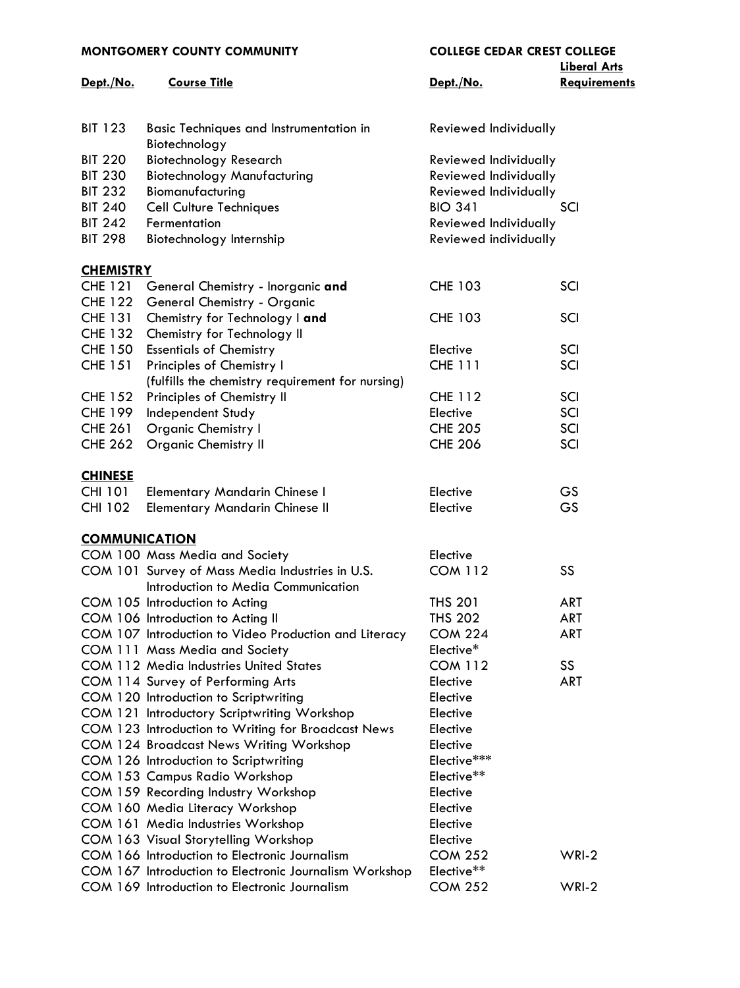| <b>MONTGOMERY COUNTY COMMUNITY</b> |                                                                 | <b>COLLEGE CEDAR CREST COLLEGE</b> |                                            |  |
|------------------------------------|-----------------------------------------------------------------|------------------------------------|--------------------------------------------|--|
| Dept./No.                          | <b>Course Title</b>                                             | Dept./No.                          | <b>Liberal Arts</b><br><b>Requirements</b> |  |
|                                    |                                                                 |                                    |                                            |  |
| <b>BIT 123</b>                     | <b>Basic Techniques and Instrumentation in</b><br>Biotechnology | Reviewed Individually              |                                            |  |
| <b>BIT 220</b>                     | <b>Biotechnology Research</b>                                   | Reviewed Individually              |                                            |  |
| <b>BIT 230</b>                     | <b>Biotechnology Manufacturing</b>                              | Reviewed Individually              |                                            |  |
| <b>BIT 232</b>                     | Biomanufacturing                                                | Reviewed Individually              |                                            |  |
| <b>BIT 240</b>                     | <b>Cell Culture Techniques</b>                                  | <b>BIO 341</b>                     | SCI                                        |  |
| <b>BIT 242</b>                     | Fermentation                                                    | Reviewed Individually              |                                            |  |
| <b>BIT 298</b>                     | Biotechnology Internship                                        | Reviewed individually              |                                            |  |
| <b>CHEMISTRY</b>                   |                                                                 |                                    |                                            |  |
| <b>CHE 121</b>                     | General Chemistry - Inorganic and                               | <b>CHE 103</b>                     | SCI                                        |  |
| <b>CHE 122</b>                     | General Chemistry - Organic                                     |                                    |                                            |  |
| <b>CHE 131</b>                     | Chemistry for Technology I and                                  | <b>CHE 103</b>                     | SCI                                        |  |
| <b>CHE 132</b>                     | Chemistry for Technology II                                     |                                    |                                            |  |
| <b>CHE 150</b>                     | <b>Essentials of Chemistry</b>                                  | Elective                           | SCI                                        |  |
| <b>CHE 151</b>                     | Principles of Chemistry I                                       | <b>CHE 111</b>                     | SCI                                        |  |
|                                    | (fulfills the chemistry requirement for nursing)                |                                    |                                            |  |
| <b>CHE 152</b>                     | Principles of Chemistry II                                      | <b>CHE 112</b>                     | SCI                                        |  |
| <b>CHE 199</b>                     | Independent Study                                               | Elective                           | SCI                                        |  |
| <b>CHE 261</b>                     | <b>Organic Chemistry I</b>                                      | <b>CHE 205</b>                     | SCI                                        |  |
| <b>CHE 262</b>                     | <b>Organic Chemistry II</b>                                     | <b>CHE 206</b>                     | SCI                                        |  |
| <b>CHINESE</b>                     |                                                                 |                                    |                                            |  |
| <b>CHI 101</b>                     | <b>Elementary Mandarin Chinese I</b>                            | Elective                           | GS                                         |  |
| <b>CHI 102</b>                     | <b>Elementary Mandarin Chinese II</b>                           | Elective                           | GS                                         |  |
| <b>COMMUNICATION</b>               |                                                                 |                                    |                                            |  |
|                                    | COM 100 Mass Media and Society                                  | Elective                           |                                            |  |
|                                    | COM 101 Survey of Mass Media Industries in U.S.                 | <b>COM 112</b>                     | SS                                         |  |
|                                    | Introduction to Media Communication                             |                                    |                                            |  |
|                                    | COM 105 Introduction to Acting                                  | <b>THS 201</b>                     | <b>ART</b>                                 |  |
|                                    | COM 106 Introduction to Acting II                               | <b>THS 202</b>                     | <b>ART</b>                                 |  |
|                                    | COM 107 Introduction to Video Production and Literacy           | <b>COM 224</b>                     | ART                                        |  |
|                                    | COM 111 Mass Media and Society                                  | Elective*                          |                                            |  |
|                                    | <b>COM 112 Media Industries United States</b>                   | <b>COM 112</b>                     | SS                                         |  |
|                                    | COM 114 Survey of Performing Arts                               | Elective                           | ART                                        |  |
|                                    | COM 120 Introduction to Scriptwriting                           | Elective                           |                                            |  |
|                                    | COM 121 Introductory Scriptwriting Workshop                     | Elective                           |                                            |  |
|                                    | COM 123 Introduction to Writing for Broadcast News              | Elective                           |                                            |  |
|                                    | <b>COM 124 Broadcast News Writing Workshop</b>                  | Elective                           |                                            |  |
|                                    | COM 126 Introduction to Scriptwriting                           | Elective***                        |                                            |  |
|                                    | COM 153 Campus Radio Workshop                                   | Elective**                         |                                            |  |
|                                    | COM 159 Recording Industry Workshop                             | Elective                           |                                            |  |
|                                    | COM 160 Media Literacy Workshop                                 | Elective                           |                                            |  |
|                                    | COM 161 Media Industries Workshop                               | Elective                           |                                            |  |
|                                    | COM 163 Visual Storytelling Workshop                            | Elective                           |                                            |  |
|                                    | COM 166 Introduction to Electronic Journalism                   | <b>COM 252</b>                     | $WRI-2$                                    |  |
|                                    | COM 167 Introduction to Electronic Journalism Workshop          | Elective**                         |                                            |  |
|                                    | COM 169 Introduction to Electronic Journalism                   | <b>COM 252</b>                     | $WRI-2$                                    |  |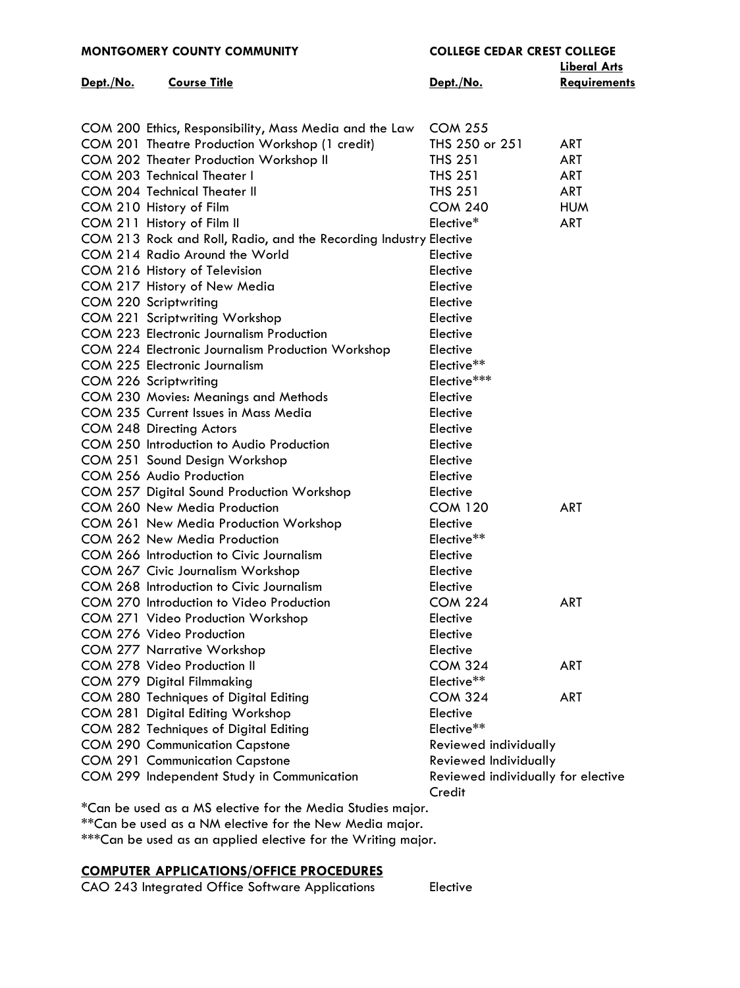|           | <b>MONTGOMERY COUNTY COMMUNITY</b>                                    | <b>COLLEGE CEDAR CREST COLLEGE</b> |                     |
|-----------|-----------------------------------------------------------------------|------------------------------------|---------------------|
|           |                                                                       |                                    | <b>Liberal Arts</b> |
| Dept./No. | <b>Course Title</b>                                                   | Dept./No.                          | <b>Requirements</b> |
|           |                                                                       |                                    |                     |
|           |                                                                       |                                    |                     |
|           | COM 200 Ethics, Responsibility, Mass Media and the Law                | <b>COM 255</b>                     |                     |
|           | COM 201 Theatre Production Workshop (1 credit)                        | THS 250 or 251                     | ART                 |
|           | COM 202 Theater Production Workshop II                                | <b>THS 251</b>                     | <b>ART</b>          |
|           | <b>COM 203 Technical Theater I</b>                                    | <b>THS 251</b>                     | <b>ART</b>          |
|           | COM 204 Technical Theater II                                          | <b>THS 251</b>                     | ART                 |
|           | COM 210 History of Film                                               | <b>COM 240</b>                     | <b>HUM</b>          |
|           | COM 211 History of Film II                                            | Elective*                          | ART                 |
|           | COM 213 Rock and Roll, Radio, and the Recording Industry Elective     |                                    |                     |
|           | COM 214 Radio Around the World                                        | Elective                           |                     |
|           | COM 216 History of Television                                         | Elective                           |                     |
|           | COM 217 History of New Media                                          | Elective                           |                     |
|           | COM 220 Scriptwriting                                                 | Elective                           |                     |
|           | COM 221 Scriptwriting Workshop                                        | Elective                           |                     |
|           | <b>COM 223 Electronic Journalism Production</b>                       | Elective                           |                     |
|           | COM 224 Electronic Journalism Production Workshop                     | Elective                           |                     |
|           | COM 225 Electronic Journalism                                         | Elective**                         |                     |
|           | COM 226 Scriptwriting                                                 | Elective***                        |                     |
|           | COM 230 Movies: Meanings and Methods                                  | Elective                           |                     |
|           | COM 235 Current Issues in Mass Media                                  | Elective                           |                     |
|           | COM 248 Directing Actors                                              | Elective                           |                     |
|           | COM 250 Introduction to Audio Production                              | Elective                           |                     |
|           | COM 251 Sound Design Workshop                                         | Elective                           |                     |
|           | COM 256 Audio Production                                              | Elective                           |                     |
|           | COM 257 Digital Sound Production Workshop                             | Elective                           |                     |
|           | COM 260 New Media Production                                          | <b>COM 120</b>                     | <b>ART</b>          |
|           |                                                                       |                                    |                     |
|           | COM 261 New Media Production Workshop<br>COM 262 New Media Production | Elective                           |                     |
|           |                                                                       | Elective**                         |                     |
|           | COM 266 Introduction to Civic Journalism                              | Elective                           |                     |
|           | COM 267 Civic Journalism Workshop                                     | Elective                           |                     |
|           | COM 268 Introduction to Civic Journalism                              | Elective                           |                     |
|           | COM 270 Introduction to Video Production                              | <b>COM 224</b>                     | ART                 |
|           | COM 271 Video Production Workshop                                     | Elective                           |                     |
|           | COM 276 Video Production                                              | Elective                           |                     |
|           | <b>COM 277 Narrative Workshop</b>                                     | Elective                           |                     |
|           | COM 278 Video Production II                                           | <b>COM 324</b>                     | ART                 |
|           | <b>COM 279 Digital Filmmaking</b>                                     | Elective**                         |                     |
|           | COM 280 Techniques of Digital Editing                                 | <b>COM 324</b>                     | ART                 |
|           | COM 281 Digital Editing Workshop                                      | Elective                           |                     |
|           | COM 282 Techniques of Digital Editing                                 | Elective**                         |                     |
|           | <b>COM 290 Communication Capstone</b>                                 | Reviewed individually              |                     |
|           | <b>COM 291 Communication Capstone</b>                                 | Reviewed Individually              |                     |
|           | COM 299 Independent Study in Communication                            | Reviewed individually for elective |                     |
|           |                                                                       | Credit                             |                     |

\*Can be used as a MS elective for the Media Studies major.

\*\*Can be used as a NM elective for the New Media major.

\*\*\*Can be used as an applied elective for the Writing major.

# **COMPUTER APPLICATIONS/OFFICE PROCEDURES**

CAO 243 Integrated Office Software Applications Elective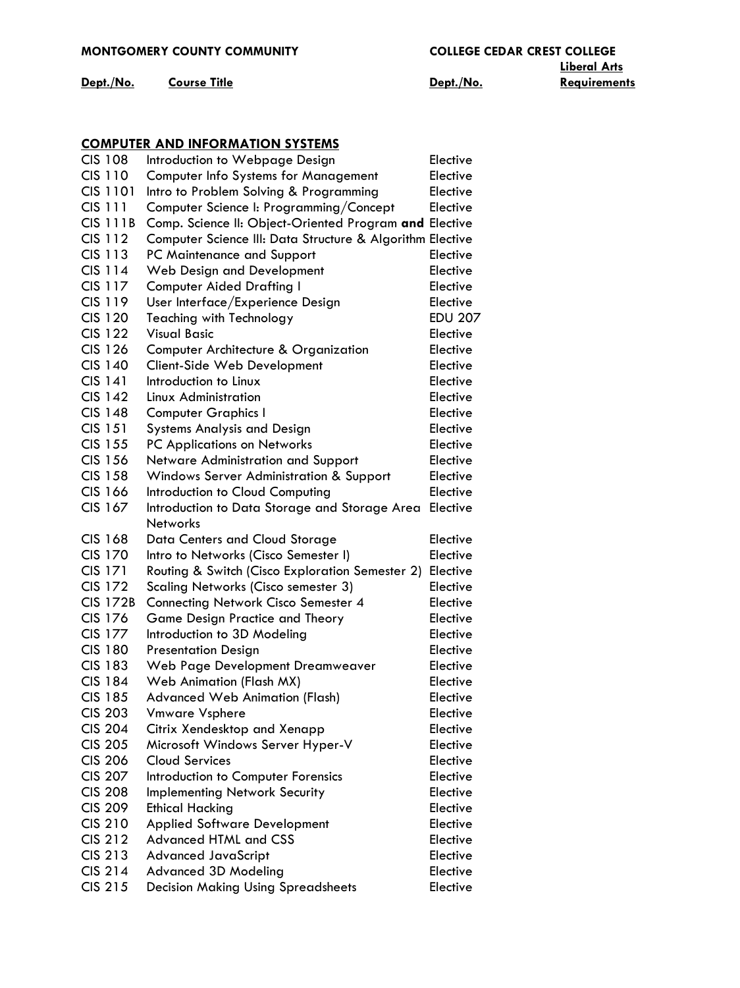| <b>MONTGOMERY COUNTY COMMUNITY</b> |  |
|------------------------------------|--|
|                                    |  |

**Dept./No. Course Title Repriments Dept./No. Repriments** 

**Liberal Arts**

# **[COMPUTER AND INFORMATION SYSTEMS](http://mc3.edu/academics/courses/1063-cis)**

| <b>CIS 108</b>  | Introduction to Webpage Design                            | Elective       |
|-----------------|-----------------------------------------------------------|----------------|
| <b>CIS 110</b>  |                                                           | Elective       |
| CIS 1101        | <b>Computer Info Systems for Management</b>               |                |
|                 | Intro to Problem Solving & Programming                    | Elective       |
| CIS 111         | Computer Science I: Programming/Concept                   | Elective       |
| <b>CIS 111B</b> | Comp. Science II: Object-Oriented Program and Elective    |                |
| <b>CIS 112</b>  | Computer Science III: Data Structure & Algorithm Elective |                |
| CIS 113         | PC Maintenance and Support                                | Elective       |
| CIS 114         | Web Design and Development                                | Elective       |
| CIS 117         | <b>Computer Aided Drafting I</b>                          | Elective       |
| <b>CIS 119</b>  | User Interface/Experience Design                          | Elective       |
| CIS 120         | <b>Teaching with Technology</b>                           | <b>EDU 207</b> |
| <b>CIS 122</b>  | <b>Visual Basic</b>                                       | Elective       |
| <b>CIS 126</b>  | Computer Architecture & Organization                      | Elective       |
| <b>CIS 140</b>  | Client-Side Web Development                               | Elective       |
| <b>CIS 141</b>  | Introduction to Linux                                     | Elective       |
| <b>CIS 142</b>  | Linux Administration                                      | Elective       |
| <b>CIS 148</b>  | <b>Computer Graphics I</b>                                | Elective       |
| <b>CIS 151</b>  | <b>Systems Analysis and Design</b>                        | Elective       |
| CIS 155         | PC Applications on Networks                               | Elective       |
| <b>CIS 156</b>  | Netware Administration and Support                        | Elective       |
| <b>CIS 158</b>  | Windows Server Administration & Support                   | Elective       |
| <b>CIS 166</b>  | Introduction to Cloud Computing                           | Elective       |
| CIS 167         | Introduction to Data Storage and Storage Area             | Elective       |
|                 | <b>Networks</b>                                           |                |
| <b>CIS 168</b>  | Data Centers and Cloud Storage                            | Elective       |
| <b>CIS 170</b>  | Intro to Networks (Cisco Semester I)                      | Elective       |
| CIS 171         | Routing & Switch (Cisco Exploration Semester 2)           | Elective       |
| CIS 172         | Scaling Networks (Cisco semester 3)                       | Elective       |
| <b>CIS 172B</b> | <b>Connecting Network Cisco Semester 4</b>                | Elective       |
| CIS 176         | Game Design Practice and Theory                           | Elective       |
| CIS 177         | Introduction to 3D Modeling                               | Elective       |
| <b>CIS 180</b>  |                                                           | Elective       |
| <b>CIS 183</b>  | <b>Presentation Design</b>                                |                |
|                 | Web Page Development Dreamweaver                          | Elective       |
| <b>CIS 184</b>  | Web Animation (Flash MX)                                  | Elective       |
| <b>CIS 185</b>  | <b>Advanced Web Animation (Flash)</b>                     | Elective       |
| <b>CIS 203</b>  | <b>Vmware Vsphere</b>                                     | Elective       |
| <b>CIS 204</b>  | Citrix Xendesktop and Xenapp                              | Elective       |
| <b>CIS 205</b>  | Microsoft Windows Server Hyper-V                          | Elective       |
| <b>CIS 206</b>  | <b>Cloud Services</b>                                     | Elective       |
| <b>CIS 207</b>  | Introduction to Computer Forensics                        | Elective       |
| <b>CIS 208</b>  | <b>Implementing Network Security</b>                      | Elective       |
| <b>CIS 209</b>  | <b>Ethical Hacking</b>                                    | Elective       |
| <b>CIS 210</b>  | <b>Applied Software Development</b>                       | Elective       |
| <b>CIS 212</b>  | <b>Advanced HTML and CSS</b>                              | Elective       |
| <b>CIS 213</b>  | <b>Advanced JavaScript</b>                                | Elective       |
| <b>CIS 214</b>  | <b>Advanced 3D Modeling</b>                               | Elective       |
| CIS 215         | <b>Decision Making Using Spreadsheets</b>                 | Elective       |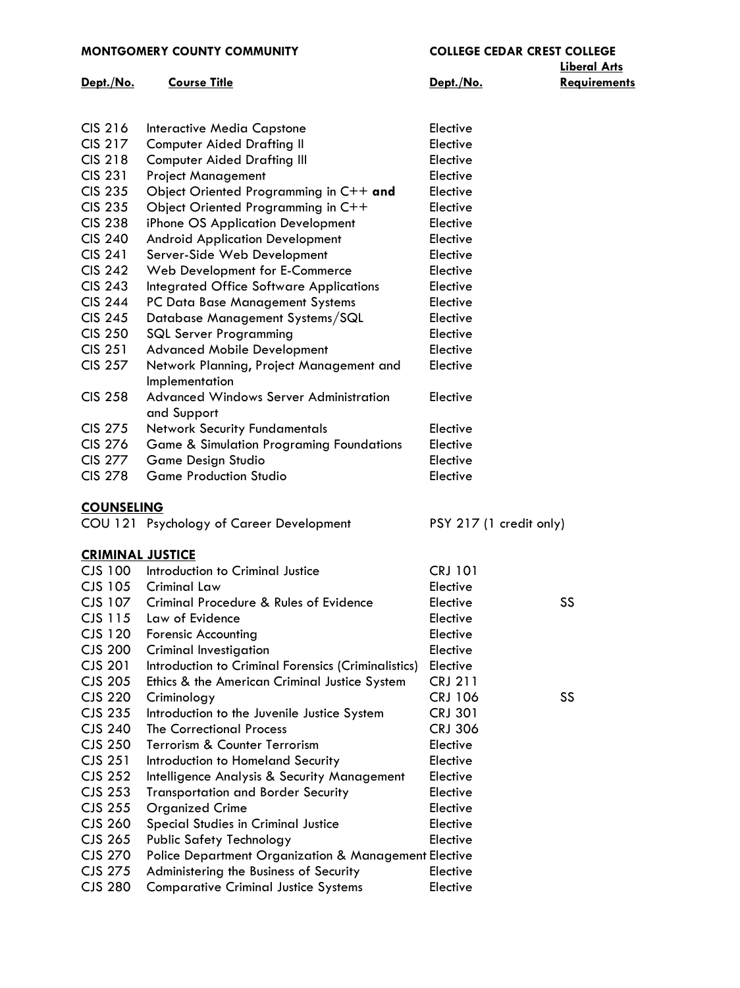#### **MONTGOMERY COUNTY COMMUNITY COLLEGE CEDAR CREST COLLEGE**

# **Dept./No. Course Title Repriments Dept./No. Repriments**

# **Liberal Arts**

| CIS 216        | Interactive Media Capstone                            | Elective |
|----------------|-------------------------------------------------------|----------|
| CIS 217        | <b>Computer Aided Drafting II</b>                     | Elective |
| <b>CIS 218</b> | <b>Computer Aided Drafting III</b>                    | Elective |
| <b>CIS 231</b> | <b>Project Management</b>                             | Elective |
| <b>CIS 235</b> | Object Oriented Programming in $C++$ and              | Elective |
| <b>CIS 235</b> | Object Oriented Programming in C++                    | Elective |
| <b>CIS 238</b> | iPhone OS Application Development                     | Elective |
| <b>CIS 240</b> | <b>Android Application Development</b>                | Elective |
| <b>CIS 241</b> | Server-Side Web Development                           | Elective |
| <b>CIS 242</b> | Web Development for E-Commerce                        | Elective |
| <b>CIS 243</b> | Integrated Office Software Applications               | Elective |
| <b>CIS 244</b> | PC Data Base Management Systems                       | Elective |
| <b>CIS 245</b> | Database Management Systems/SQL                       | Elective |
| <b>CIS 250</b> | <b>SQL Server Programming</b>                         | Elective |
| <b>CIS 251</b> | <b>Advanced Mobile Development</b>                    | Elective |
| CIS 257        | Network Planning, Project Management and              | Elective |
|                | Implementation                                        |          |
| CIS 258        | Advanced Windows Server Administration<br>and Support | Elective |
| CIS 275        | <b>Network Security Fundamentals</b>                  | Elective |
| <b>CIS 276</b> | <b>Game &amp; Simulation Programing Foundations</b>   | Elective |
| <b>CIS 277</b> | Game Design Studio                                    | Elective |
| CIS 278        | <b>Game Production Studio</b>                         | Elective |
|                |                                                       |          |

### **[COUNSELING](http://mc3.edu/academics/courses/1066-cou)**

COU 121 Psychology of Career Development PSY 217 (1 credit only)

### **[CRIMINAL JUSTICE](http://mc3.edu/academics/courses/1064-cjs)**

| Introduction to Criminal Justice                    | <b>CRJ 101</b> |                                                                 |
|-----------------------------------------------------|----------------|-----------------------------------------------------------------|
| Criminal Law                                        | Elective       |                                                                 |
| Criminal Procedure & Rules of Evidence              | Elective       | SS.                                                             |
| Law of Evidence                                     | Elective       |                                                                 |
| <b>Forensic Accounting</b>                          | Elective       |                                                                 |
| Criminal Investigation                              | Elective       |                                                                 |
| Introduction to Criminal Forensics (Criminalistics) | Elective       |                                                                 |
| Ethics & the American Criminal Justice System       | <b>CRJ 211</b> |                                                                 |
| Criminology                                         | <b>CRJ 106</b> | SS.                                                             |
| Introduction to the Juvenile Justice System         | <b>CRJ 301</b> |                                                                 |
| The Correctional Process                            | <b>CRJ 306</b> |                                                                 |
| Terrorism & Counter Terrorism                       | Elective       |                                                                 |
| Introduction to Homeland Security                   | Elective       |                                                                 |
| Intelligence Analysis & Security Management         | Elective       |                                                                 |
| <b>Transportation and Border Security</b>           | Elective       |                                                                 |
| <b>Organized Crime</b>                              | Elective       |                                                                 |
| Special Studies in Criminal Justice                 | Elective       |                                                                 |
| Public Safety Technology                            | Elective       |                                                                 |
|                                                     |                |                                                                 |
| Administering the Business of Security              | Elective       |                                                                 |
| <b>Comparative Criminal Justice Systems</b>         | Elective       |                                                                 |
|                                                     |                | <b>Police Department Organization &amp; Management Elective</b> |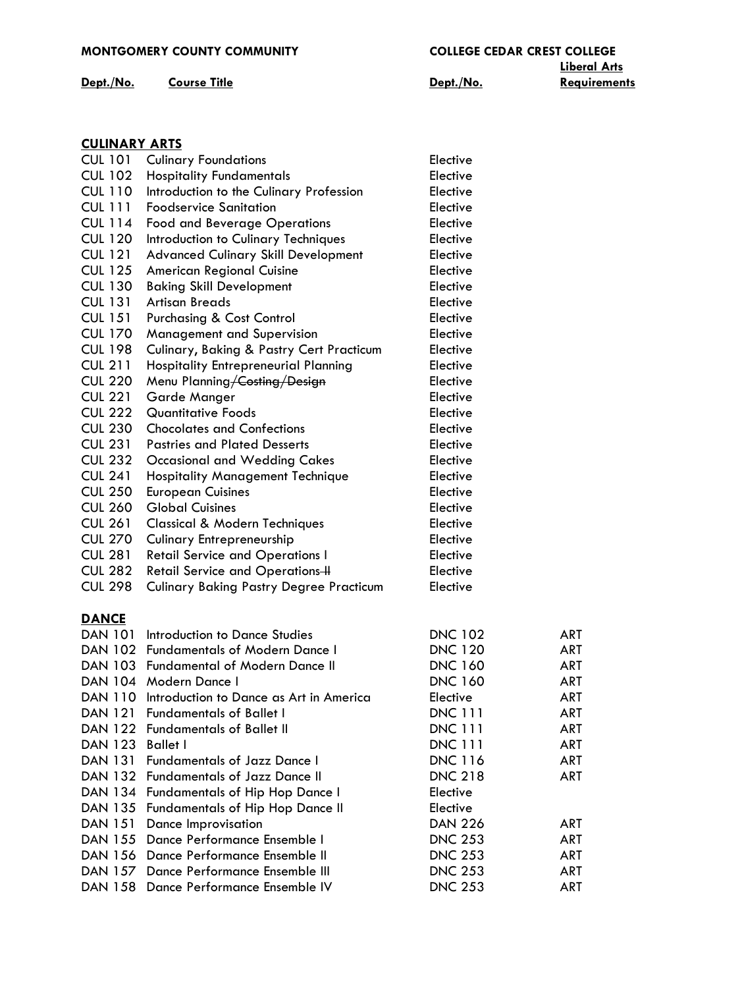## **MONTGOMERY COUNTY COMMUNITY COLLEGE CEDAR CREST COLLEGE**

## **Dept./No. Course Title Requirements Dept./No. Requirements**

**Liberal Arts**

|--|

| <b>CUL 101</b> | <b>Culinary Foundations</b>                     | Elective       |            |
|----------------|-------------------------------------------------|----------------|------------|
| <b>CUL 102</b> | <b>Hospitality Fundamentals</b>                 | Elective       |            |
| <b>CUL 110</b> | Introduction to the Culinary Profession         | Elective       |            |
| <b>CUL 111</b> | <b>Foodservice Sanitation</b>                   | Elective       |            |
| <b>CUL 114</b> | <b>Food and Beverage Operations</b>             | Elective       |            |
| <b>CUL 120</b> | Introduction to Culinary Techniques             | Elective       |            |
| <b>CUL 121</b> | <b>Advanced Culinary Skill Development</b>      | Elective       |            |
| <b>CUL 125</b> | <b>American Regional Cuisine</b>                | Elective       |            |
| <b>CUL 130</b> | <b>Baking Skill Development</b>                 | Elective       |            |
| <b>CUL 131</b> | <b>Artisan Breads</b>                           | Elective       |            |
| <b>CUL 151</b> | <b>Purchasing &amp; Cost Control</b>            | Elective       |            |
| <b>CUL 170</b> | Management and Supervision                      | Elective       |            |
| <b>CUL 198</b> | Culinary, Baking & Pastry Cert Practicum        | Elective       |            |
| <b>CUL 211</b> | <b>Hospitality Entrepreneurial Planning</b>     | Elective       |            |
| <b>CUL 220</b> | Menu Planning Costing / Design                  | Elective       |            |
| <b>CUL 221</b> | Garde Manger                                    | Elective       |            |
| <b>CUL 222</b> | <b>Quantitative Foods</b>                       | Elective       |            |
| <b>CUL 230</b> | <b>Chocolates and Confections</b>               | Elective       |            |
| <b>CUL 231</b> | <b>Pastries and Plated Desserts</b>             | Elective       |            |
| <b>CUL 232</b> | <b>Occasional and Wedding Cakes</b>             | Elective       |            |
| <b>CUL 241</b> | <b>Hospitality Management Technique</b>         | Elective       |            |
| <b>CUL 250</b> | <b>European Cuisines</b>                        | Elective       |            |
| <b>CUL 260</b> | <b>Global Cuisines</b>                          | Elective       |            |
| <b>CUL 261</b> | <b>Classical &amp; Modern Techniques</b>        | Elective       |            |
| <b>CUL 270</b> | <b>Culinary Entrepreneurship</b>                | Elective       |            |
| <b>CUL 281</b> | <b>Retail Service and Operations I</b>          | Elective       |            |
| <b>CUL 282</b> | Retail Service and Operations-H                 | Elective       |            |
| <b>CUL 298</b> | <b>Culinary Baking Pastry Degree Practicum</b>  | Elective       |            |
|                |                                                 |                |            |
| <b>DANCE</b>   |                                                 |                |            |
|                | DAN 101 Introduction to Dance Studies           | <b>DNC 102</b> | <b>ART</b> |
|                | DAN 102 Fundamentals of Modern Dance I          | <b>DNC 120</b> | <b>ART</b> |
|                | DAN 103 Fundamental of Modern Dance II          | <b>DNC 160</b> | <b>ART</b> |
|                | DAN 104 Modern Dance I                          | <b>DNC 160</b> | ART        |
|                | DAN 110 Introduction to Dance as Art in America | Elective       | <b>ART</b> |
| DAN 121        | <b>Fundamentals of Ballet I</b>                 | <b>DNC 111</b> | <b>ART</b> |
| DAN 122        | <b>Fundamentals of Ballet II</b>                | <b>DNC 111</b> | <b>ART</b> |
| <b>DAN 123</b> | <b>Ballet I</b>                                 | <b>DNC 111</b> | <b>ART</b> |
|                | DAN 131 Fundamentals of Jazz Dance I            | <b>DNC 116</b> | <b>ART</b> |
|                | DAN 132 Fundamentals of Jazz Dance II           | <b>DNC 218</b> | <b>ART</b> |
|                | DAN 134 Fundamentals of Hip Hop Dance I         | Elective       |            |
|                | DAN 135 Fundamentals of Hip Hop Dance II        | Elective       |            |
| <b>DAN 151</b> | Dance Improvisation                             | <b>DAN 226</b> | <b>ART</b> |
|                | DAN 155 Dance Performance Ensemble I            | <b>DNC 253</b> | <b>ART</b> |
|                | DAN 156 Dance Performance Ensemble II           | <b>DNC 253</b> | <b>ART</b> |
| <b>DAN 157</b> | Dance Performance Ensemble III                  | <b>DNC 253</b> | ART        |
| <b>DAN 158</b> | Dance Performance Ensemble IV                   | <b>DNC 253</b> | <b>ART</b> |
|                |                                                 |                |            |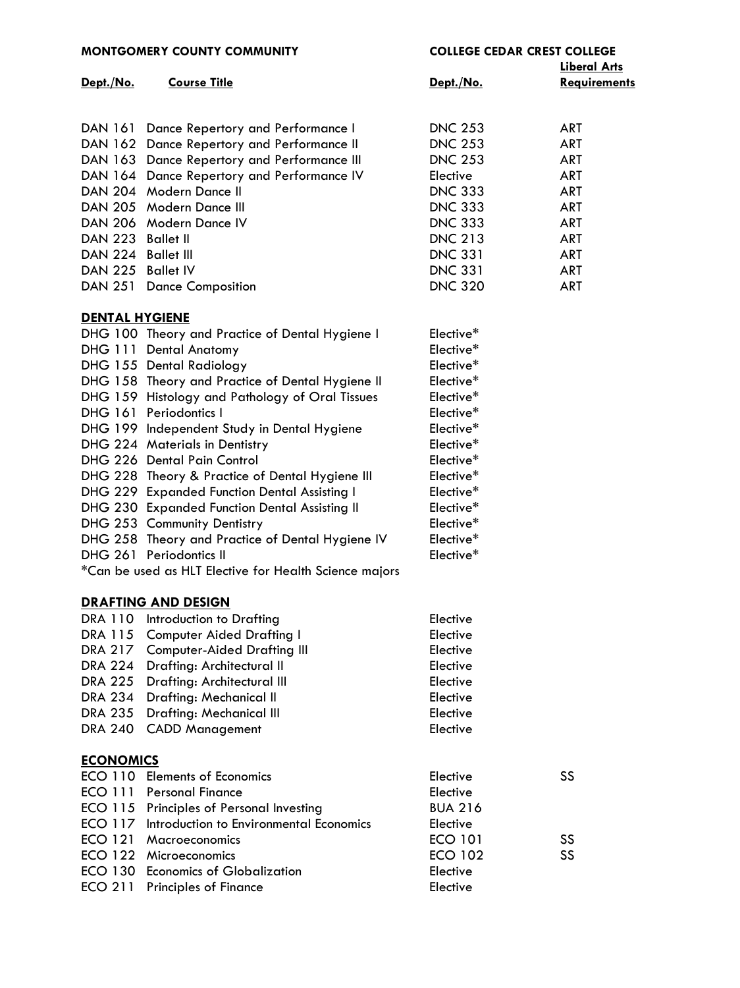|                       | <b>MONTGOMERY COUNTY COMMUNITY</b>                     | <b>COLLEGE CEDAR CREST COLLEGE</b> |                     |
|-----------------------|--------------------------------------------------------|------------------------------------|---------------------|
|                       |                                                        |                                    | <b>Liberal Arts</b> |
| Dept./No.             | <b>Course Title</b>                                    | Dept./No.                          | <b>Requirements</b> |
|                       |                                                        |                                    |                     |
|                       |                                                        |                                    |                     |
|                       | DAN 161 Dance Repertory and Performance I              | <b>DNC 253</b>                     | <b>ART</b>          |
|                       | DAN 162 Dance Repertory and Performance II             | <b>DNC 253</b>                     | <b>ART</b>          |
|                       | DAN 163 Dance Repertory and Performance III            | <b>DNC 253</b>                     | <b>ART</b>          |
|                       | DAN 164 Dance Repertory and Performance IV             | Elective                           | <b>ART</b>          |
|                       | DAN 204 Modern Dance II                                | <b>DNC 333</b>                     | <b>ART</b>          |
|                       | DAN 205 Modern Dance III                               | <b>DNC 333</b>                     | <b>ART</b>          |
|                       | DAN 206 Modern Dance IV                                | <b>DNC 333</b>                     | ART                 |
| DAN 223 Ballet II     |                                                        | <b>DNC 213</b>                     | <b>ART</b>          |
| DAN 224 Ballet III    |                                                        | <b>DNC 331</b>                     | <b>ART</b>          |
| DAN 225 Ballet IV     |                                                        | <b>DNC 331</b>                     | <b>ART</b>          |
|                       | DAN 251 Dance Composition                              | <b>DNC 320</b>                     | <b>ART</b>          |
|                       |                                                        |                                    |                     |
| <b>DENTAL HYGIENE</b> |                                                        |                                    |                     |
|                       | DHG 100 Theory and Practice of Dental Hygiene I        | Elective*                          |                     |
|                       | DHG 111 Dental Anatomy                                 | Elective*                          |                     |
|                       | DHG 155 Dental Radiology                               | Elective*                          |                     |
|                       | DHG 158 Theory and Practice of Dental Hygiene II       | Elective*                          |                     |
|                       | DHG 159 Histology and Pathology of Oral Tissues        | Elective*                          |                     |
|                       | DHG 161 Periodontics I                                 | Elective*                          |                     |
|                       | DHG 199 Independent Study in Dental Hygiene            | Elective*                          |                     |
|                       | DHG 224 Materials in Dentistry                         | Elective*                          |                     |
|                       | DHG 226 Dental Pain Control                            | Elective*                          |                     |
|                       | DHG 228 Theory & Practice of Dental Hygiene III        | Elective*                          |                     |
|                       | DHG 229 Expanded Function Dental Assisting I           | Elective*                          |                     |
|                       | DHG 230 Expanded Function Dental Assisting II          | Elective*                          |                     |
|                       | DHG 253 Community Dentistry                            | Elective*                          |                     |
|                       | DHG 258 Theory and Practice of Dental Hygiene IV       | Elective*                          |                     |
|                       | DHG 261 Periodontics II                                | Elective*                          |                     |
|                       | *Can be used as HLT Elective for Health Science majors |                                    |                     |

#### **[DRAFTING AND DESIGN](http://www.mc3.edu/academics/courses/1070-dra)**

| DRA 110 Introduction to Drafting    | Elective |
|-------------------------------------|----------|
| DRA 115 Computer Aided Drafting I   | Elective |
| DRA 217 Computer-Aided Drafting III | Elective |
| DRA 224 Drafting: Architectural II  | Elective |
| DRA 225 Drafting: Architectural III | Elective |
| DRA 234 Drafting: Mechanical II     | Elective |
| DRA 235 Drafting: Mechanical III    | Elective |
| DRA 240 CADD Management             | Elective |
|                                     |          |

# **[ECONOMICS](http://mc3.edu/academics/courses/1157-eco)**

| ECO 110 Elements of Economics                   | Elective       | SS |
|-------------------------------------------------|----------------|----|
| ECO 111 Personal Finance                        | Elective       |    |
| ECO 115 Principles of Personal Investing        | <b>BUA 216</b> |    |
| ECO 117 Introduction to Environmental Economics | Elective       |    |
| ECO 121 Macroeconomics                          | <b>ECO 101</b> | SS |
| ECO 122 Microeconomics                          | <b>ECO 102</b> | SS |
| ECO 130 Economics of Globalization              | Elective       |    |
| ECO 211 Principles of Finance                   | Elective       |    |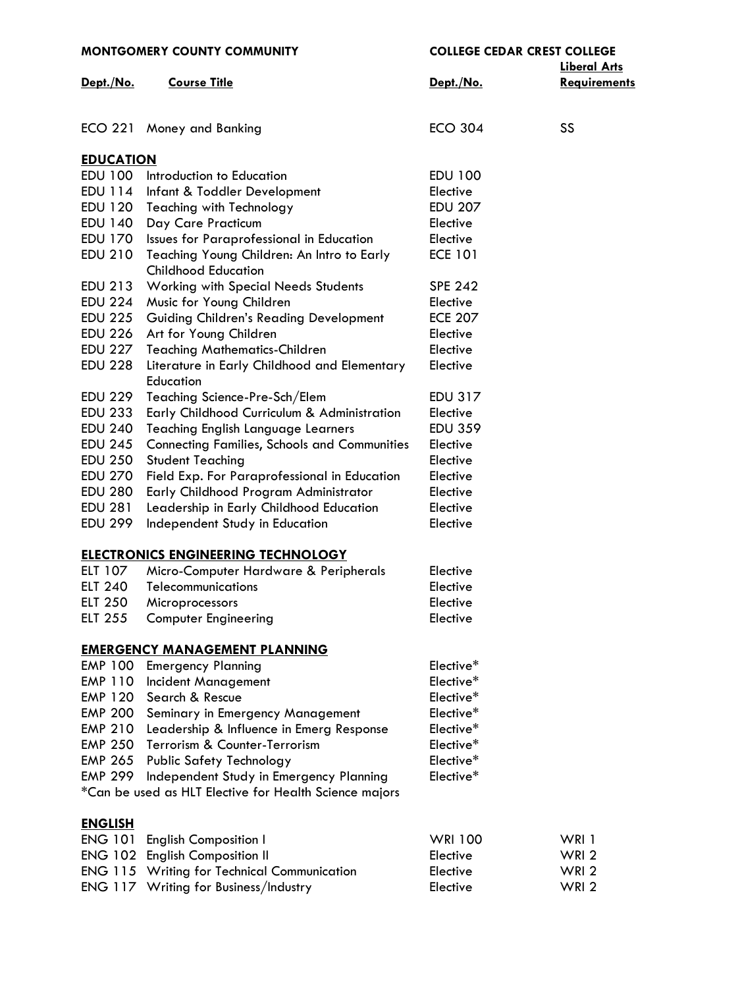| <b>MONTGOMERY COUNTY COMMUNITY</b> |                                                                                                   | <b>COLLEGE CEDAR CREST COLLEGE</b> |                                            |
|------------------------------------|---------------------------------------------------------------------------------------------------|------------------------------------|--------------------------------------------|
| Dept./No.                          | <b>Course Title</b>                                                                               | Dept./No.                          | <b>Liberal Arts</b><br><b>Requirements</b> |
|                                    | ECO 221 Money and Banking                                                                         | <b>ECO 304</b>                     | SS                                         |
| <b>EDUCATION</b>                   |                                                                                                   |                                    |                                            |
| <b>EDU 100</b>                     | Introduction to Education                                                                         | <b>EDU 100</b>                     |                                            |
| EDU 114                            | Infant & Toddler Development                                                                      | Elective                           |                                            |
| <b>EDU 120</b>                     | <b>Teaching with Technology</b>                                                                   | <b>EDU 207</b>                     |                                            |
| <b>EDU 140</b>                     | Day Care Practicum                                                                                | Elective                           |                                            |
| EDU 170                            | Issues for Paraprofessional in Education                                                          | Elective                           |                                            |
| <b>EDU 210</b>                     | Teaching Young Children: An Intro to Early                                                        | <b>ECE 101</b>                     |                                            |
|                                    | <b>Childhood Education</b>                                                                        |                                    |                                            |
| EDU 213                            | <b>Working with Special Needs Students</b>                                                        | <b>SPE 242</b>                     |                                            |
| <b>EDU 224</b>                     | Music for Young Children                                                                          | Elective                           |                                            |
| <b>EDU 225</b>                     | <b>Guiding Children's Reading Development</b>                                                     | <b>ECE 207</b>                     |                                            |
| <b>EDU 226</b>                     | Art for Young Children                                                                            | Elective                           |                                            |
| <b>EDU 227</b>                     | <b>Teaching Mathematics-Children</b>                                                              | Elective                           |                                            |
| <b>EDU 228</b>                     | Literature in Early Childhood and Elementary<br>Education                                         | Elective                           |                                            |
| <b>EDU 229</b>                     | Teaching Science-Pre-Sch/Elem                                                                     | <b>EDU 317</b>                     |                                            |
| <b>EDU 233</b>                     | Early Childhood Curriculum & Administration                                                       | Elective                           |                                            |
| <b>EDU 240</b>                     | <b>Teaching English Language Learners</b>                                                         | <b>EDU 359</b>                     |                                            |
| <b>EDU 245</b>                     | <b>Connecting Families, Schools and Communities</b>                                               | Elective                           |                                            |
| <b>EDU 250</b>                     | <b>Student Teaching</b>                                                                           | Elective                           |                                            |
| <b>EDU 270</b>                     | Field Exp. For Paraprofessional in Education                                                      | Elective                           |                                            |
| <b>EDU 280</b>                     | Early Childhood Program Administrator                                                             | Elective                           |                                            |
| <b>EDU 281</b>                     | Leadership in Early Childhood Education                                                           | Elective                           |                                            |
| <b>EDU 299</b>                     | Independent Study in Education                                                                    | Elective                           |                                            |
|                                    | <b>ELECTRONICS ENGINEERING TECHNOLOGY</b>                                                         |                                    |                                            |
| ELT 107                            | Micro-Computer Hardware & Peripherals                                                             | Elective                           |                                            |
| ELT 240                            | Telecommunications                                                                                | Elective                           |                                            |
| <b>ELT 250</b>                     | Microprocessors                                                                                   | Elective                           |                                            |
| <b>ELT 255</b>                     | <b>Computer Engineering</b>                                                                       | Elective                           |                                            |
|                                    | <b>EMERGENCY MANAGEMENT PLANNING</b>                                                              |                                    |                                            |
| <b>EMP 100</b>                     | <b>Emergency Planning</b>                                                                         | Elective*                          |                                            |
| EMP 110                            | Incident Management                                                                               | Elective*                          |                                            |
| EMP 120                            | Search & Rescue                                                                                   | Elective*                          |                                            |
| <b>EMP 200</b>                     | Seminary in Emergency Management                                                                  | Elective*                          |                                            |
| <b>EMP 210</b>                     | Leadership & Influence in Emerg Response                                                          | Elective*                          |                                            |
| <b>EMP 250</b>                     | Terrorism & Counter-Terrorism                                                                     | Elective*                          |                                            |
| <b>EMP 265</b>                     | <b>Public Safety Technology</b>                                                                   | Elective*                          |                                            |
| <b>EMP 299</b>                     | Independent Study in Emergency Planning<br>*Can be used as HLT Elective for Health Science majors | Elective*                          |                                            |
| <b>ENGLISH</b>                     |                                                                                                   |                                    |                                            |
| <b>ENG 101</b>                     | <b>English Composition I</b>                                                                      | <b>WRI 100</b>                     | WRI 1                                      |
|                                    | ENG 102 English Composition II                                                                    | Elective                           | WRI <sub>2</sub>                           |
|                                    | <b>ENG 115 Writing for Technical Communication</b>                                                | Elective                           | WRI <sub>2</sub>                           |
|                                    | ENG 117 Writing for Business/Industry                                                             | Elective                           | WRI <sub>2</sub>                           |
|                                    |                                                                                                   |                                    |                                            |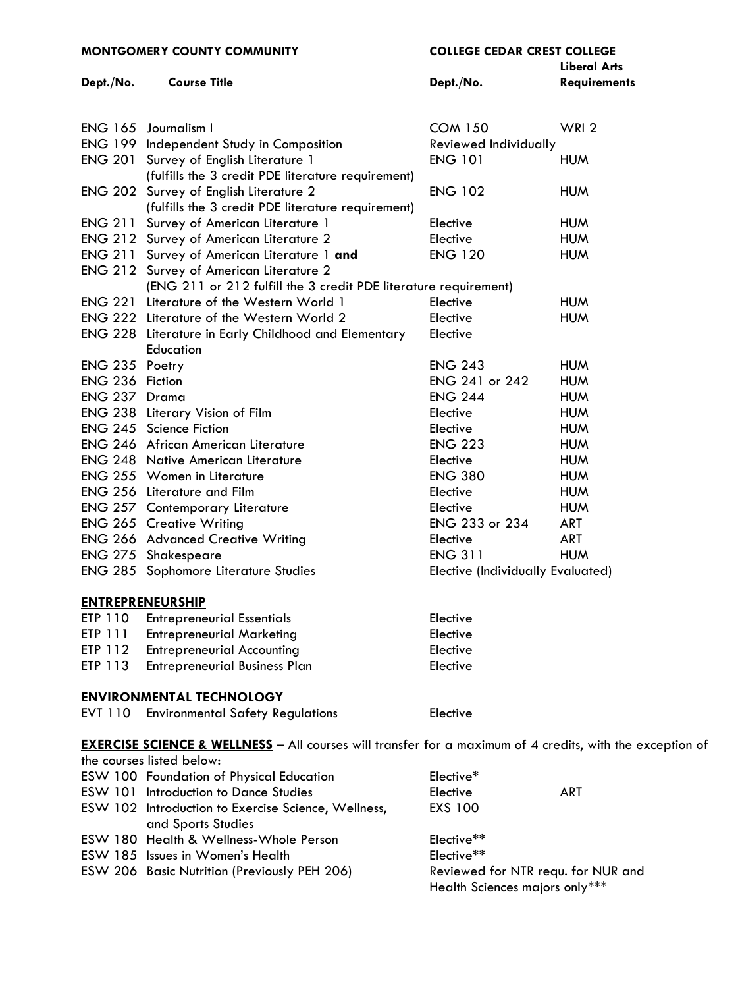|                 | MONTGOMERY COUNTY COMMUNITY                                      | <b>COLLEGE CEDAR CREST COLLEGE</b>       | <b>Liberal Arts</b> |
|-----------------|------------------------------------------------------------------|------------------------------------------|---------------------|
| Dept./No.       | <b>Course Title</b>                                              | Dept./No.                                | <b>Requirements</b> |
|                 |                                                                  |                                          |                     |
|                 | ENG 165 Journalism I                                             | <b>COM 150</b>                           | WRI <sub>2</sub>    |
|                 | ENG 199 Independent Study in Composition                         | Reviewed Individually                    |                     |
|                 | ENG 201 Survey of English Literature 1                           | <b>ENG 101</b>                           | <b>HUM</b>          |
|                 | (fulfills the 3 credit PDE literature requirement)               |                                          |                     |
|                 | ENG 202 Survey of English Literature 2                           | <b>ENG 102</b>                           | <b>HUM</b>          |
|                 | (fulfills the 3 credit PDE literature requirement)               |                                          |                     |
|                 | <b>ENG 211 Survey of American Literature 1</b>                   | Elective                                 | <b>HUM</b>          |
|                 | ENG 212 Survey of American Literature 2                          | Elective                                 | <b>HUM</b>          |
|                 | ENG 211 Survey of American Literature 1 and                      | <b>ENG 120</b>                           | <b>HUM</b>          |
|                 | <b>ENG 212 Survey of American Literature 2</b>                   |                                          |                     |
|                 | (ENG 211 or 212 fulfill the 3 credit PDE literature requirement) |                                          |                     |
|                 | ENG 221 Literature of the Western World 1                        | Elective                                 | <b>HUM</b>          |
|                 | <b>ENG 222 Literature of the Western World 2</b>                 | Elective                                 | <b>HUM</b>          |
|                 | ENG 228 Literature in Early Childhood and Elementary             | Elective                                 |                     |
|                 | Education                                                        |                                          |                     |
| ENG 235 Poetry  |                                                                  | <b>ENG 243</b>                           | <b>HUM</b>          |
| ENG 236 Fiction |                                                                  | ENG 241 or 242                           | <b>HUM</b>          |
| ENG 237 Drama   |                                                                  | <b>ENG 244</b>                           | <b>HUM</b>          |
|                 | ENG 238 Literary Vision of Film                                  | Elective                                 | <b>HUM</b>          |
|                 | ENG 245 Science Fiction                                          | Elective                                 | <b>HUM</b>          |
|                 | <b>ENG 246 African American Literature</b>                       | <b>ENG 223</b>                           | <b>HUM</b>          |
|                 | <b>ENG 248 Native American Literature</b>                        | Elective                                 | <b>HUM</b>          |
|                 | ENG 255 Women in Literature                                      | <b>ENG 380</b>                           | <b>HUM</b>          |
|                 | ENG 256 Literature and Film                                      | Elective                                 | <b>HUM</b>          |
|                 | <b>ENG 257 Contemporary Literature</b>                           | Elective                                 | <b>HUM</b>          |
|                 | <b>ENG 265 Creative Writing</b>                                  | ENG 233 or 234                           | <b>ART</b>          |
|                 | <b>ENG 266 Advanced Creative Writing</b>                         | Elective                                 | <b>ART</b>          |
|                 | <b>ENG 275 Shakespeare</b>                                       | <b>ENG 311</b>                           | <b>HUM</b>          |
|                 | <b>ENG 285 Sophomore Literature Studies</b>                      | <b>Elective (Individually Evaluated)</b> |                     |
|                 | <b>ENTREPRENEURSHIP</b>                                          |                                          |                     |
| ETP 110         | <b>Entrepreneurial Essentials</b>                                | Elective                                 |                     |
| ETP 111         | <b>Entrepreneurial Marketing</b>                                 | Elective                                 |                     |
| ETP 112         | <b>Entrepreneurial Accounting</b>                                | Elective                                 |                     |

ETP 113 Entrepreneurial Business Plan Flatter Elective

# **ENVIRONMENTAL TECHNOLOGY**

|  | <b>EVT 110 Environmental Safety Regulations</b> | Elective |
|--|-------------------------------------------------|----------|
|--|-------------------------------------------------|----------|

**[EXERCISE SCIENCE & WELLNESS](http://mc3.edu/academics/courses/1079-esw)** – All courses will transfer for a maximum of 4 credits, with the exception of

| the courses listed below:                           |                                    |
|-----------------------------------------------------|------------------------------------|
| <b>ESW 100 Foundation of Physical Education</b>     | Elective*                          |
| <b>ESW 101 Introduction to Dance Studies</b>        | Elective<br>ART                    |
| ESW 102 Introduction to Exercise Science, Wellness, | <b>EXS 100</b>                     |
| and Sports Studies                                  |                                    |
| ESW 180 Health & Wellness-Whole Person              | Elective**                         |
| ESW 185 Issues in Women's Health                    | Elective**                         |
| ESW 206 Basic Nutrition (Previously PEH 206)        | Reviewed for NTR requ. for NUR and |
|                                                     | Health Sciences majors only***     |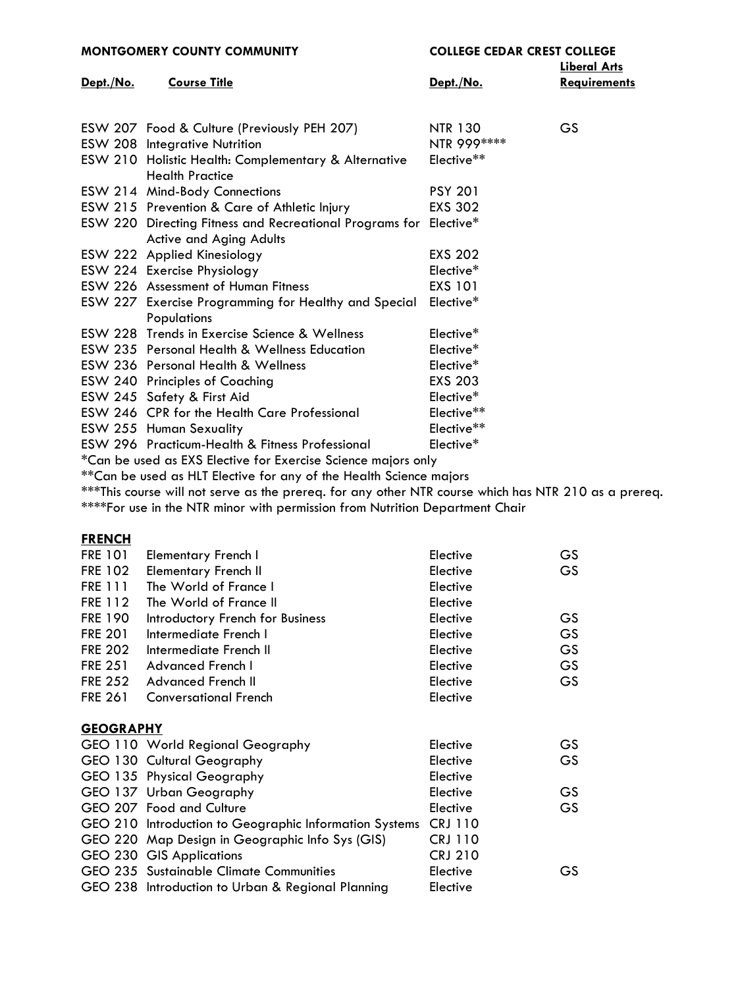| <b>MONTGOMERY COUNTY COMMUNITY</b>                            |                                                                                              | <b>COLLEGE CEDAR CREST COLLEGE</b> |                                            |
|---------------------------------------------------------------|----------------------------------------------------------------------------------------------|------------------------------------|--------------------------------------------|
| Dept./No.                                                     | <b>Course Title</b>                                                                          | Dept./No.                          | <b>Liberal Arts</b><br><b>Requirements</b> |
|                                                               | ESW 207 Food & Culture (Previously PEH 207)<br><b>ESW 208 Integrative Nutrition</b>          | <b>NTR 130</b><br>NTR 999 ****     | <b>GS</b>                                  |
|                                                               | ESW 210 Holistic Health: Complementary & Alternative<br><b>Health Practice</b>               | Elective**                         |                                            |
|                                                               | ESW 214 Mind-Body Connections                                                                | <b>PSY 201</b>                     |                                            |
|                                                               | ESW 215 Prevention & Care of Athletic Injury                                                 | <b>EXS 302</b>                     |                                            |
|                                                               | ESW 220 Directing Fitness and Recreational Programs for Elective*<br>Active and Aging Adults |                                    |                                            |
|                                                               | ESW 222 Applied Kinesiology                                                                  | <b>EXS 202</b>                     |                                            |
|                                                               | ESW 224 Exercise Physiology                                                                  | Elective*                          |                                            |
|                                                               | ESW 226 Assessment of Human Fitness                                                          | <b>EXS 101</b>                     |                                            |
|                                                               | ESW 227 Exercise Programming for Healthy and Special<br><b>Populations</b>                   | Elective*                          |                                            |
|                                                               | ESW 228 Trends in Exercise Science & Wellness                                                | Elective*                          |                                            |
|                                                               | ESW 235 Personal Health & Wellness Education                                                 | Elective*                          |                                            |
|                                                               | <b>ESW 236 Personal Health &amp; Wellness</b>                                                | Elective*                          |                                            |
|                                                               | <b>ESW 240 Principles of Coaching</b>                                                        | <b>EXS 203</b>                     |                                            |
|                                                               | ESW 245 Safety & First Aid                                                                   | Elective*                          |                                            |
|                                                               | ESW 246 CPR for the Health Care Professional                                                 | Elective**                         |                                            |
|                                                               | ESW 255 Human Sexuality                                                                      | Elective**                         |                                            |
|                                                               | ESW 296 Practicum-Health & Fitness Professional                                              | Elective*                          |                                            |
| *Can be used as EXS Elective for Exercise Science majors only |                                                                                              |                                    |                                            |

\*\*Can be used as HLT Elective for any of the Health Science majors

\*\*\*This course will not serve as the prereq. for any other NTR course which has NTR 210 as a prereq. \*\*\*\*For use in the NTR minor with permission from Nutrition Department Chair

## **[FRENCH](http://mc3.edu/academics/courses/1081-fre)**

| <b>FRE 101</b>   | Elementary French I              | Elective | GS        |
|------------------|----------------------------------|----------|-----------|
| <b>FRE 102</b>   | <b>Elementary French II</b>      | Elective | <b>GS</b> |
| <b>FRE 111</b>   | The World of France I            | Elective |           |
| FRE 112          | The World of France II           | Elective |           |
| <b>FRE 190</b>   | Introductory French for Business | Elective | <b>GS</b> |
| <b>FRE 201</b>   | Intermediate French I            | Elective | GS        |
| <b>FRE 202</b>   | Intermediate French II           | Elective | <b>GS</b> |
| <b>FRE 251</b>   | Advanced French I                | Elective | <b>GS</b> |
| <b>FRE 252</b>   | Advanced French II               | Elective | <b>GS</b> |
| <b>FRE 261</b>   | <b>Conversational French</b>     | Elective |           |
| <b>GEOGRAPHY</b> |                                  |          |           |
|                  | GEO 110 World Regional Geography | Elective | GS        |
|                  | GEO 130 Cultural Geography       | Elective | <b>GS</b> |
|                  | GEO 135 Physical Geography       | Elective |           |
|                  | GEO 137 Urban Geography          | Elective | GS.       |
|                  |                                  |          |           |

| <b>ULU TU, UTUUT UCUUTUDII</b>                                 | ------         | ັ  |
|----------------------------------------------------------------|----------------|----|
| GEO 207 Food and Culture                                       | Elective       | GS |
| GEO 210 Introduction to Geographic Information Systems CRJ 110 |                |    |
| GEO 220 Map Design in Geographic Info Sys (GIS)                | <b>CRJ 110</b> |    |
| GEO 230 GIS Applications                                       | <b>CRJ 210</b> |    |
| GEO 235 Sustainable Climate Communities                        | Elective       | GS |
| GEO 238 Introduction to Urban & Regional Planning              | Elective       |    |
|                                                                |                |    |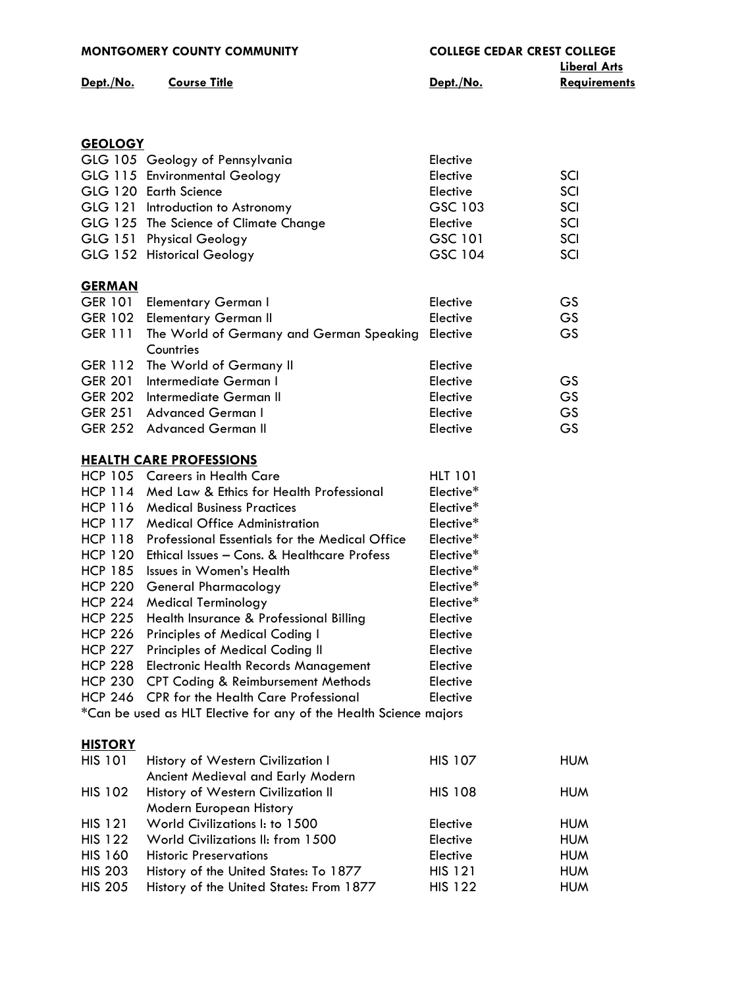|                                  | <b>MONTGOMERY COUNTY COMMUNITY</b>                                                                               | <b>COLLEGE CEDAR CREST COLLEGE</b> | <b>Liberal Arts</b> |
|----------------------------------|------------------------------------------------------------------------------------------------------------------|------------------------------------|---------------------|
| Dept./No.                        | <b>Course Title</b>                                                                                              | Dept./No.                          | Requirements        |
|                                  |                                                                                                                  |                                    |                     |
| <b>GEOLOGY</b>                   |                                                                                                                  |                                    |                     |
|                                  | GLG 105 Geology of Pennsylvania                                                                                  | Elective                           |                     |
|                                  | GLG 115 Environmental Geology                                                                                    | Elective                           | SCI                 |
|                                  | GLG 120 Earth Science                                                                                            | Elective                           | SCI                 |
|                                  | GLG 121 Introduction to Astronomy                                                                                | GSC 103                            | SCI                 |
|                                  | GLG 125 The Science of Climate Change                                                                            | Elective                           | SCI                 |
|                                  | GLG 151 Physical Geology                                                                                         | GSC 101                            | SCI                 |
|                                  | GLG 152 Historical Geology                                                                                       | GSC 104                            | SCI                 |
| <b>GERMAN</b>                    |                                                                                                                  |                                    |                     |
|                                  | GER 101 Elementary German I                                                                                      | Elective                           | <b>GS</b>           |
| <b>GER 102</b>                   | <b>Elementary German II</b>                                                                                      | Elective                           | <b>GS</b>           |
| <b>GER 111</b>                   | The World of Germany and German Speaking<br>Countries                                                            | Elective                           | GS                  |
| <b>GER 112</b>                   | The World of Germany II                                                                                          | Elective                           |                     |
| <b>GER 201</b>                   | Intermediate German I                                                                                            | Elective                           | GS                  |
| <b>GER 202</b>                   | Intermediate German II                                                                                           | Elective                           | GS                  |
| <b>GER 251</b>                   | <b>Advanced German I</b>                                                                                         | Elective                           | <b>GS</b>           |
| <b>GER 252</b>                   | <b>Advanced German II</b>                                                                                        | Elective                           | GS                  |
|                                  | <b>HEALTH CARE PROFESSIONS</b>                                                                                   |                                    |                     |
|                                  | HCP 105 Careers in Health Care                                                                                   | <b>HLT 101</b>                     |                     |
|                                  | HCP 114 Med Law & Ethics for Health Professional                                                                 | Elective*                          |                     |
| <b>HCP 116</b>                   | <b>Medical Business Practices</b>                                                                                | Elective*                          |                     |
|                                  | HCP 117 Medical Office Administration                                                                            | Elective*                          |                     |
| <b>HCP 118</b>                   | <b>Professional Essentials for the Medical Office</b>                                                            | Elective*                          |                     |
|                                  | HCP 120 Ethical Issues - Cons. & Healthcare Profess                                                              | Elective*                          |                     |
| <b>HCP 185</b>                   | Issues in Women's Health                                                                                         | Elective*                          |                     |
| <b>HCP 220</b>                   | <b>General Pharmacology</b>                                                                                      | Elective*                          |                     |
| <b>HCP 224</b>                   | <b>Medical Terminology</b>                                                                                       | Elective*                          |                     |
| <b>HCP 225</b>                   | Health Insurance & Professional Billing                                                                          | Elective                           |                     |
| <b>HCP 226</b>                   | <b>Principles of Medical Coding I</b>                                                                            | Elective                           |                     |
| <b>HCP 227</b>                   | Principles of Medical Coding II                                                                                  | Elective                           |                     |
| <b>HCP 228</b>                   | <b>Electronic Health Records Management</b>                                                                      | Elective                           |                     |
| <b>HCP 230</b>                   | <b>CPT Coding &amp; Reimbursement Methods</b>                                                                    | Elective                           |                     |
| <b>HCP 246</b>                   | <b>CPR</b> for the Health Care Professional<br>*Can be used as HLT Elective for any of the Health Science majors | Elective                           |                     |
|                                  |                                                                                                                  |                                    |                     |
| <b>HISTORY</b><br><b>HIS 101</b> | History of Western Civilization I                                                                                | <b>HIS 107</b>                     | <b>HUM</b>          |
|                                  | Ancient Medieval and Early Modern                                                                                |                                    |                     |
| <b>HIS 102</b>                   | History of Western Civilization II                                                                               | <b>HIS 108</b>                     | <b>HUM</b>          |
|                                  | Modern European History                                                                                          |                                    |                     |
| <b>HIS 121</b>                   | World Civilizations I: to 1500                                                                                   | Elective                           | <b>HUM</b>          |
| <b>HIS 122</b>                   | World Civilizations II: from 1500                                                                                | Elective                           | <b>HUM</b>          |
| <b>HIS 160</b>                   | <b>Historic Preservations</b>                                                                                    | Elective                           | <b>HUM</b>          |
| <b>HIS 203</b>                   | History of the United States: To 1877                                                                            | <b>HIS 121</b>                     | <b>HUM</b>          |
| <b>HIS 205</b>                   | History of the United States: From 1877                                                                          | <b>HIS 122</b>                     | <b>HUM</b>          |
|                                  |                                                                                                                  |                                    |                     |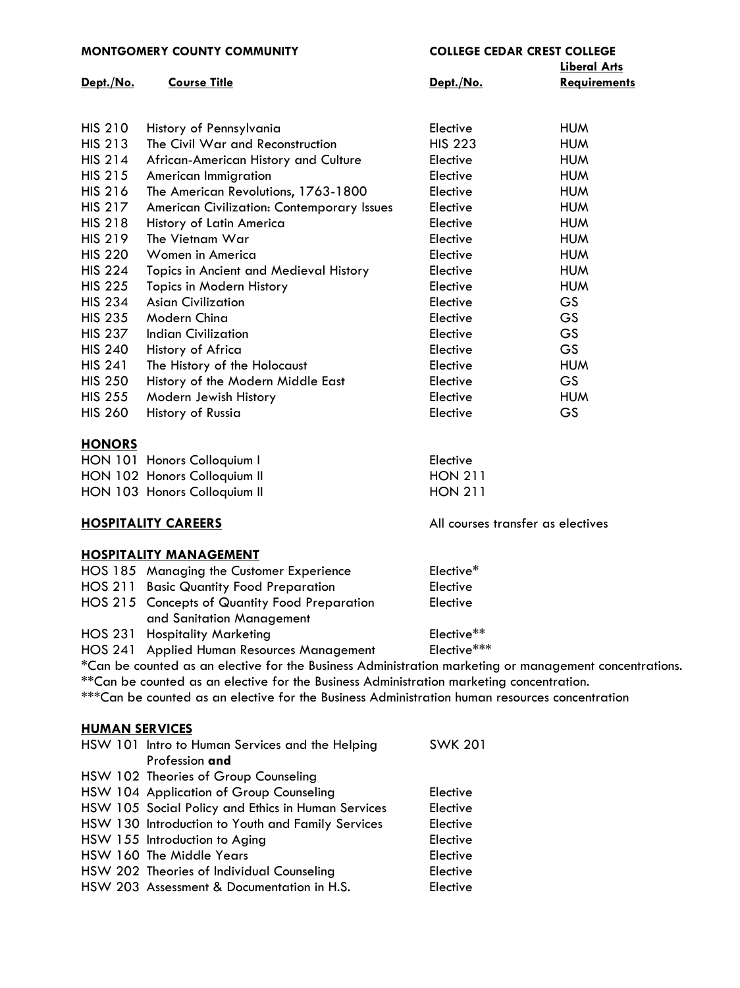**MONTGOMERY COUNTY COMMUNITY COLLEGE CEDAR CREST COLLEGE Liberal Arts Dept./No. Course Title Dept./No. Requirements** HIS 210 History of Pennsylvania Elective HUM HIS 213 The Civil War and Reconstruction HIS 223 HUM HIS 214 African-American History and Culture Elective HUM HIS 215 American Immigration Elective HUM HIS 216 The American Revolutions, 1763-1800 Elective HUM HIS 217 American Civilization: Contemporary Issues Elective HUM HIS 218 History of Latin America **Elective** Elective HUM HIS 219 The Vietnam War Elective HUM HIS 220 Women in America Elective HUM HIS 224 Topics in Ancient and Medieval History Flective Elective HUM HIS 225 Topics in Modern History Elective HUM HIS 234 Asian Civilization Elective GS HIS 235 Modern China Elective GS HIS 237 Indian Civilization Elective GS HIS 240 History of Africa **Elective** Elective GS HIS 241 The History of the Holocaust Elective HUM HIS 250 History of the Modern Middle East Elective GS HIS 255 Modern Jewish History **Elective** Elective HUM HIS 260 History of Russia **Elective** Elective GS

### **[HONORS](http://mc3.edu/academics/courses/1088-hon)**

| HON 101 Honors Colloquium I  | Elective       |
|------------------------------|----------------|
| HON 102 Honors Colloquium II | <b>HON 211</b> |
| HON 103 Honors Colloquium II | <b>HON 211</b> |

# **HOSPITALITY CAREERS** All courses transfer as electives

## **[HOSPITALITY MANAGEMENT](http://mc3.edu/academics/courses/1089-hos)**

| HOS 185 Managing the Customer Experience                                                       | Elective*                                                                                              |
|------------------------------------------------------------------------------------------------|--------------------------------------------------------------------------------------------------------|
| <b>HOS 211 Basic Quantity Food Preparation</b>                                                 | Elective                                                                                               |
| HOS 215 Concepts of Quantity Food Preparation                                                  | Elective                                                                                               |
| and Sanitation Management                                                                      |                                                                                                        |
| HOS 231 Hospitality Marketing                                                                  | Elective**                                                                                             |
| HOS 241 Applied Human Resources Management                                                     | Elective***                                                                                            |
|                                                                                                | *Can be counted as an elective for the Business Administration marketing or management concentrations. |
| **Can be counted as an elective for the Business Administration marketing concentration.       |                                                                                                        |
| ***Can be counted as an elective for the Business Administration human resources concentration |                                                                                                        |
|                                                                                                |                                                                                                        |

# **[HUMAN SERVICES](http://mc3.edu/academics/courses/1090-hsw)**

| HSW 101 Intro to Human Services and the Helping    | <b>SWK 201</b> |
|----------------------------------------------------|----------------|
| Profession and                                     |                |
| HSW 102 Theories of Group Counseling               |                |
| HSW 104 Application of Group Counseling            | Elective       |
| HSW 105 Social Policy and Ethics in Human Services | Elective       |
| HSW 130 Introduction to Youth and Family Services  | Elective       |
| HSW 155 Introduction to Aging                      | Elective       |
| HSW 160 The Middle Years                           | Elective       |
| HSW 202 Theories of Individual Counseling          | Elective       |
| HSW 203 Assessment & Documentation in H.S.         | Elective       |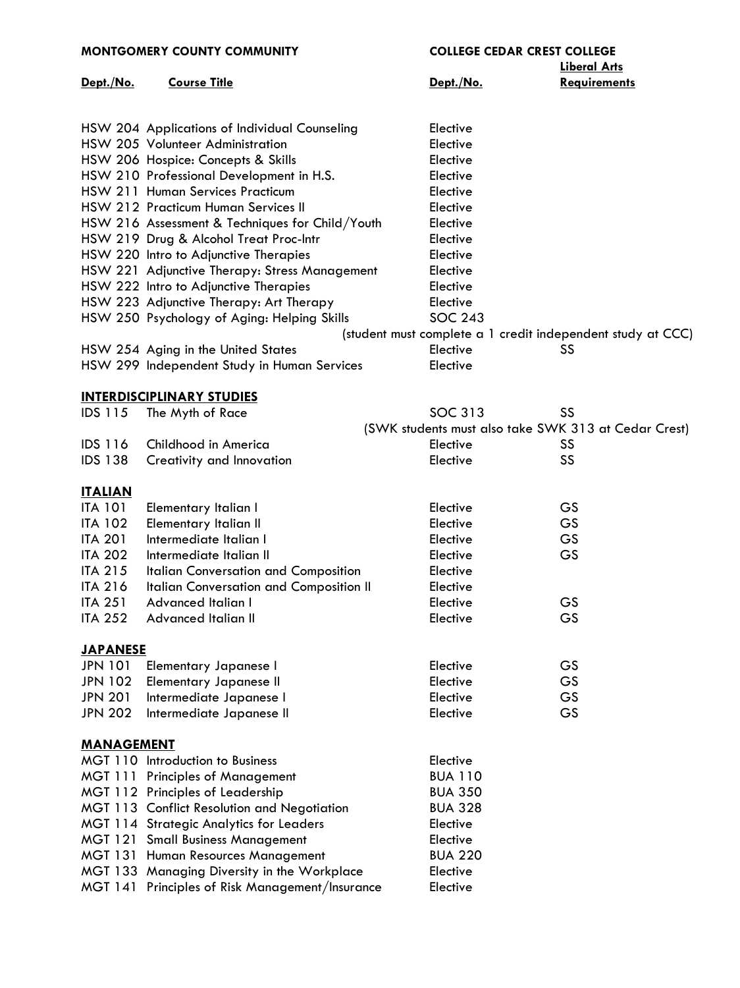| <b>MONTGOMERY COUNTY COMMUNITY</b> |                                                 | <b>COLLEGE CEDAR CREST COLLEGE</b> |                                                             |
|------------------------------------|-------------------------------------------------|------------------------------------|-------------------------------------------------------------|
|                                    |                                                 |                                    | <b>Liberal Arts</b>                                         |
| Dept./No.                          | <b>Course Title</b>                             | Dept./No.                          | <b>Requirements</b>                                         |
|                                    |                                                 |                                    |                                                             |
|                                    | HSW 204 Applications of Individual Counseling   | Elective                           |                                                             |
|                                    | HSW 205 Volunteer Administration                | Elective                           |                                                             |
|                                    | HSW 206 Hospice: Concepts & Skills              | Elective                           |                                                             |
|                                    | HSW 210 Professional Development in H.S.        | Elective                           |                                                             |
|                                    | HSW 211 Human Services Practicum                | Elective                           |                                                             |
|                                    | HSW 212 Practicum Human Services II             | Elective                           |                                                             |
|                                    | HSW 216 Assessment & Techniques for Child/Youth | Elective                           |                                                             |
|                                    | HSW 219 Drug & Alcohol Treat Proc-Intr          | Elective                           |                                                             |
|                                    | HSW 220 Intro to Adjunctive Therapies           | Elective                           |                                                             |
|                                    | HSW 221 Adjunctive Therapy: Stress Management   | Elective                           |                                                             |
|                                    | HSW 222 Intro to Adjunctive Therapies           | Elective                           |                                                             |
|                                    | HSW 223 Adjunctive Therapy: Art Therapy         | Elective                           |                                                             |
|                                    | HSW 250 Psychology of Aging: Helping Skills     | <b>SOC 243</b>                     |                                                             |
|                                    |                                                 |                                    | (student must complete a 1 credit independent study at CCC) |
|                                    | HSW 254 Aging in the United States              | Elective                           | SS                                                          |
|                                    | HSW 299 Independent Study in Human Services     | Elective                           |                                                             |
|                                    | <b>INTERDISCIPLINARY STUDIES</b>                |                                    |                                                             |
| <b>IDS 115</b>                     | The Myth of Race                                | SOC 313                            | SS                                                          |
|                                    |                                                 |                                    | (SWK students must also take SWK 313 at Cedar Crest)        |
| <b>IDS 116</b>                     | Childhood in America                            | Elective                           | SS                                                          |
| <b>IDS 138</b>                     | Creativity and Innovation                       | Elective                           | SS                                                          |
| <b>ITALIAN</b>                     |                                                 |                                    |                                                             |
| <b>ITA 101</b>                     | <b>Elementary Italian I</b>                     | Elective                           | GS                                                          |
| <b>ITA 102</b>                     | <b>Elementary Italian II</b>                    | Elective                           | GS                                                          |
| <b>ITA 201</b>                     | Intermediate Italian I                          | Elective                           | GS                                                          |
| <b>ITA 202</b>                     | Intermediate Italian II                         | Elective                           | GS                                                          |
| <b>ITA 215</b>                     | Italian Conversation and Composition            | Elective                           |                                                             |
| <b>ITA 216</b>                     | Italian Conversation and Composition II         | Elective                           |                                                             |
| <b>ITA 251</b>                     | Advanced Italian I                              | Elective                           | GS                                                          |
| <b>ITA 252</b>                     | Advanced Italian II                             | Elective                           | GS                                                          |
|                                    |                                                 |                                    |                                                             |
| <b>JAPANESE</b>                    |                                                 |                                    |                                                             |
| <b>JPN 101</b>                     | <b>Elementary Japanese I</b>                    | Elective                           | GS                                                          |
| <b>JPN 102</b>                     | <b>Elementary Japanese II</b>                   | Elective                           | GS                                                          |
| <b>JPN 201</b>                     | Intermediate Japanese I                         | Elective                           | GS                                                          |
| <b>JPN 202</b>                     | Intermediate Japanese II                        | Elective                           | GS                                                          |
| <u>MANAGEMENT</u>                  |                                                 |                                    |                                                             |
|                                    | MGT 110 Introduction to Business                | Elective                           |                                                             |
|                                    | MGT 111 Principles of Management                | <b>BUA 110</b>                     |                                                             |
|                                    | MGT 112 Principles of Leadership                | <b>BUA 350</b>                     |                                                             |
|                                    | MGT 113 Conflict Resolution and Negotiation     | <b>BUA 328</b>                     |                                                             |
|                                    | <b>MGT 114 Strategic Analytics for Leaders</b>  | Elective                           |                                                             |
|                                    | <b>MGT 121 Small Business Management</b>        | Elective                           |                                                             |
|                                    | MGT 131 Human Resources Management              | <b>BUA 220</b>                     |                                                             |
|                                    | MGT 133 Managing Diversity in the Workplace     | Elective                           |                                                             |
|                                    | MGT 141 Principles of Risk Management/Insurance | Elective                           |                                                             |
|                                    |                                                 |                                    |                                                             |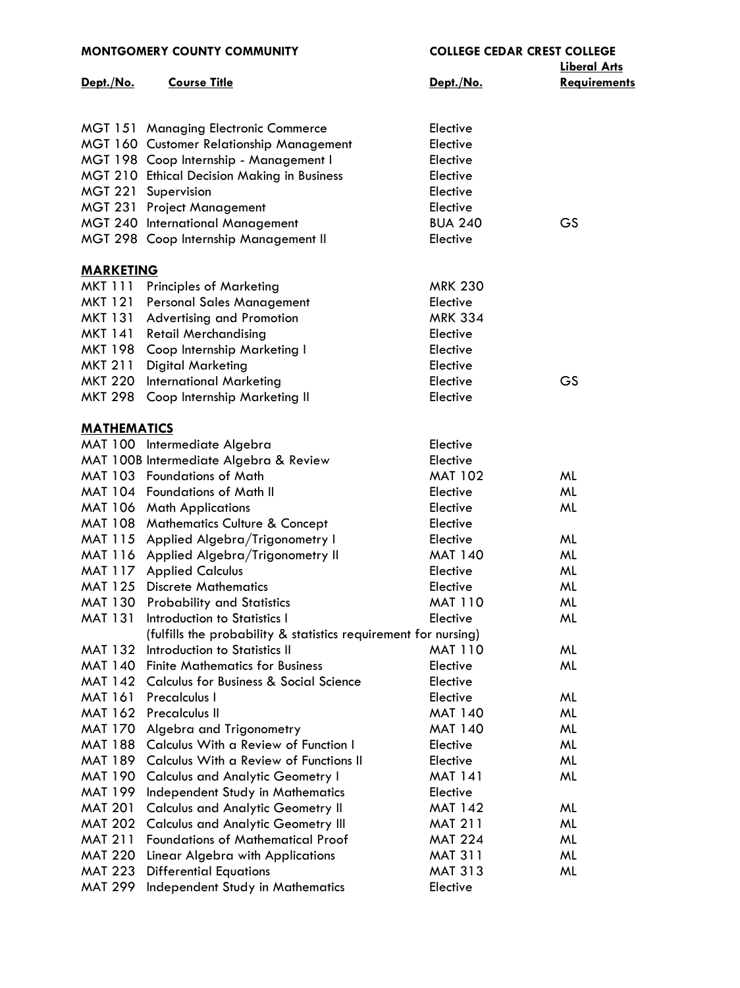| <b>MONTGOMERY COUNTY COMMUNITY</b> |                                                                 | <b>COLLEGE CEDAR CREST COLLEGE</b> |                     |
|------------------------------------|-----------------------------------------------------------------|------------------------------------|---------------------|
|                                    |                                                                 |                                    | <b>Liberal Arts</b> |
| Dept./No.                          | <b>Course Title</b>                                             | Dept./No.                          | <b>Requirements</b> |
|                                    |                                                                 |                                    |                     |
|                                    | <b>MGT 151 Managing Electronic Commerce</b>                     | Elective                           |                     |
|                                    | MGT 160 Customer Relationship Management                        | Elective                           |                     |
|                                    | MGT 198 Coop Internship - Management I                          | Elective                           |                     |
|                                    | MGT 210 Ethical Decision Making in Business                     | Elective                           |                     |
|                                    | MGT 221 Supervision                                             | Elective                           |                     |
|                                    | <b>MGT 231 Project Management</b>                               | Elective                           |                     |
|                                    | <b>MGT 240 International Management</b>                         | <b>BUA 240</b>                     | GS                  |
|                                    | MGT 298 Coop Internship Management II                           | Elective                           |                     |
| <b>MARKETING</b>                   |                                                                 |                                    |                     |
| <b>MKT 111</b>                     | <b>Principles of Marketing</b>                                  | <b>MRK 230</b>                     |                     |
| <b>MKT 121</b>                     | <b>Personal Sales Management</b>                                | Elective                           |                     |
| MKT 131                            | <b>Advertising and Promotion</b>                                | <b>MRK 334</b>                     |                     |
| MKT 141                            | <b>Retail Merchandising</b>                                     | Elective                           |                     |
|                                    | MKT 198 Coop Internship Marketing I                             | Elective                           |                     |
| MKT 211                            | <b>Digital Marketing</b>                                        | Elective                           |                     |
| <b>MKT 220</b>                     | <b>International Marketing</b>                                  | Elective                           | GS                  |
| <b>MKT 298</b>                     | Coop Internship Marketing II                                    | Elective                           |                     |
|                                    |                                                                 |                                    |                     |
| <b>MATHEMATICS</b>                 |                                                                 |                                    |                     |
|                                    | MAT 100 Intermediate Algebra                                    | Elective                           |                     |
|                                    | MAT 100B Intermediate Algebra & Review                          | Elective                           |                     |
|                                    | MAT 103 Foundations of Math                                     | <b>MAT 102</b>                     | ML                  |
|                                    | MAT 104 Foundations of Math II                                  | Elective                           | ML                  |
|                                    | MAT 106 Math Applications                                       | Elective                           | ML                  |
|                                    | MAT 108 Mathematics Culture & Concept                           | Elective                           |                     |
|                                    | MAT 115 Applied Algebra/Trigonometry I                          | Elective                           | ML                  |
|                                    | MAT 116 Applied Algebra/Trigonometry II                         | <b>MAT 140</b>                     | ML                  |
|                                    | MAT 117 Applied Calculus                                        | Elective                           | ML                  |
|                                    | MAT 125 Discrete Mathematics                                    | Elective                           | ML                  |
|                                    | MAT 130 Probability and Statistics                              | <b>MAT 110</b>                     | ML                  |
| MAT 131                            | Introduction to Statistics I                                    | Elective                           | ML                  |
|                                    | (fulfills the probability & statistics requirement for nursing) |                                    |                     |
| <b>MAT 132</b>                     | Introduction to Statistics II                                   | <b>MAT 110</b>                     | ML                  |
| <b>MAT 140</b>                     | <b>Finite Mathematics for Business</b>                          | Elective                           | ML                  |
| MAT 142                            | <b>Calculus for Business &amp; Social Science</b>               | Elective                           |                     |
| <b>MAT 161</b>                     | Precalculus I                                                   | Elective                           | ML                  |
| <b>MAT 162</b>                     | Precalculus II                                                  | <b>MAT 140</b>                     | ML                  |
| <b>MAT 170</b>                     | Algebra and Trigonometry                                        | <b>MAT 140</b>                     | ML                  |
| <b>MAT 188</b>                     | Calculus With a Review of Function I                            | Elective                           | ML                  |
| <b>MAT 189</b>                     | Calculus With a Review of Functions II                          | Elective                           | ML                  |
| <b>MAT 190</b>                     | <b>Calculus and Analytic Geometry I</b>                         | <b>MAT 141</b>                     | ML                  |
|                                    | MAT 199 Independent Study in Mathematics                        | Elective                           |                     |
| <b>MAT 201</b>                     | <b>Calculus and Analytic Geometry II</b>                        | <b>MAT 142</b>                     | ML                  |
| <b>MAT 202</b>                     | <b>Calculus and Analytic Geometry III</b>                       | <b>MAT 211</b>                     | ML                  |
| <b>MAT 211</b>                     | <b>Foundations of Mathematical Proof</b>                        | <b>MAT 224</b>                     | ML                  |
| <b>MAT 220</b>                     | Linear Algebra with Applications                                | <b>MAT 311</b>                     | ML                  |
| <b>MAT 223</b>                     | <b>Differential Equations</b>                                   | <b>MAT 313</b>                     | ML                  |
| <b>MAT 299</b>                     | Independent Study in Mathematics                                | Elective                           |                     |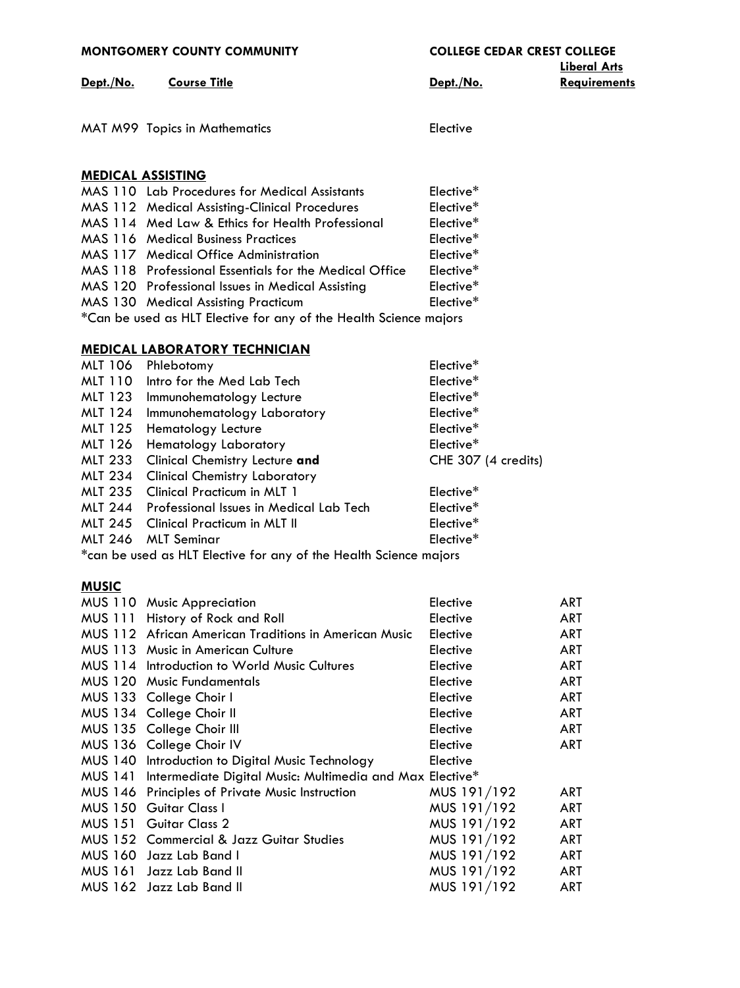| <b>MONTGOMERY COUNTY COMMUNITY</b> |                                                                                   | <b>COLLEGE CEDAR CREST COLLEGE</b><br><b>Liberal Arts</b> |                          |
|------------------------------------|-----------------------------------------------------------------------------------|-----------------------------------------------------------|--------------------------|
| Dept./No.                          | <b>Course Title</b>                                                               | Dept./No.                                                 | <b>Requirements</b>      |
|                                    |                                                                                   |                                                           |                          |
|                                    | MAT M99 Topics in Mathematics                                                     | Elective                                                  |                          |
|                                    |                                                                                   |                                                           |                          |
|                                    | <b>MEDICAL ASSISTING</b>                                                          |                                                           |                          |
|                                    | MAS 110 Lab Procedures for Medical Assistants                                     | Elective*                                                 |                          |
|                                    | MAS 112 Medical Assisting-Clinical Procedures                                     | Elective*                                                 |                          |
|                                    | MAS 114 Med Law & Ethics for Health Professional                                  | Elective*                                                 |                          |
|                                    | <b>MAS 116 Medical Business Practices</b>                                         | Elective*                                                 |                          |
|                                    | MAS 117 Medical Office Administration                                             | Elective*                                                 |                          |
|                                    | MAS 118 Professional Essentials for the Medical Office                            | Elective*                                                 |                          |
|                                    | MAS 120 Professional Issues in Medical Assisting                                  | Elective*                                                 |                          |
|                                    | MAS 130 Medical Assisting Practicum                                               | Elective*                                                 |                          |
|                                    | *Can be used as HLT Elective for any of the Health Science majors                 |                                                           |                          |
|                                    | <b>MEDICAL LABORATORY TECHNICIAN</b>                                              |                                                           |                          |
| MLT 106                            | Phlebotomy                                                                        | Elective*                                                 |                          |
| <b>MLT 110</b>                     | Intro for the Med Lab Tech                                                        | Elective*                                                 |                          |
| MLT 123                            | Immunohematology Lecture                                                          | Elective*                                                 |                          |
| <b>MLT 124</b>                     | Immunohematology Laboratory                                                       | Elective*                                                 |                          |
| <b>MLT 125</b>                     | <b>Hematology Lecture</b>                                                         | Elective*                                                 |                          |
| MLT 126                            | Hematology Laboratory                                                             | Elective*                                                 |                          |
| <b>MLT 233</b>                     | Clinical Chemistry Lecture and                                                    | CHE 307 (4 credits)                                       |                          |
| <b>MLT 234</b>                     | <b>Clinical Chemistry Laboratory</b>                                              |                                                           |                          |
| <b>MLT 235</b>                     | Clinical Practicum in MLT 1                                                       | Elective*                                                 |                          |
| <b>MLT 244</b>                     | Professional Issues in Medical Lab Tech                                           | Elective*                                                 |                          |
| <b>MLT 245</b>                     | <b>Clinical Practicum in MLT II</b>                                               | Elective*                                                 |                          |
| <b>MLT 246</b>                     | <b>MLT</b> Seminar                                                                | Elective*                                                 |                          |
|                                    | *can be used as HLT Elective for any of the Health Science majors                 |                                                           |                          |
| <b>MUSIC</b>                       |                                                                                   |                                                           |                          |
|                                    | MUS 110 Music Appreciation                                                        | Elective                                                  | <b>ART</b>               |
| <b>MUS 111</b>                     | History of Rock and Roll                                                          | Elective                                                  | <b>ART</b>               |
|                                    | MUS 112 African American Traditions in American Music                             | Elective                                                  | <b>ART</b>               |
|                                    | MUS 113 Music in American Culture                                                 | Elective                                                  | <b>ART</b>               |
|                                    | MUS 114 Introduction to World Music Cultures<br><b>MUS 120 Music Fundamentals</b> | Elective<br>Elective                                      | <b>ART</b><br><b>ART</b> |
|                                    | MUS 133 College Choir I                                                           | Elective                                                  | <b>ART</b>               |
|                                    | MUS 134 College Choir II                                                          | Elective                                                  | <b>ART</b>               |
|                                    | MUS 135 College Choir III                                                         | Elective                                                  | <b>ART</b>               |
|                                    | MUS 136 College Choir IV                                                          | Elective                                                  | <b>ART</b>               |
|                                    | MUS 140 Introduction to Digital Music Technology                                  | Elective                                                  |                          |
| <b>MUS 141</b>                     | Intermediate Digital Music: Multimedia and Max Elective*                          |                                                           |                          |
| <b>MUS 146</b>                     | <b>Principles of Private Music Instruction</b>                                    | MUS 191/192                                               | <b>ART</b>               |
| <b>MUS 150</b>                     | Guitar Class I                                                                    | MUS 191/192                                               | <b>ART</b>               |
| <b>MUS 151</b>                     | Guitar Class 2                                                                    | MUS 191/192                                               | <b>ART</b>               |
|                                    | MUS 152 Commercial & Jazz Guitar Studies                                          | MUS 191/192                                               | <b>ART</b>               |
|                                    | MUS 160 Jazz Lab Band I                                                           | MUS 191/192                                               | <b>ART</b>               |
| <b>MUS 161</b>                     | Jazz Lab Band II                                                                  | MUS 191/192                                               | <b>ART</b>               |
|                                    | MUS 162 Jazz Lab Band II                                                          | MUS 191/192                                               | <b>ART</b>               |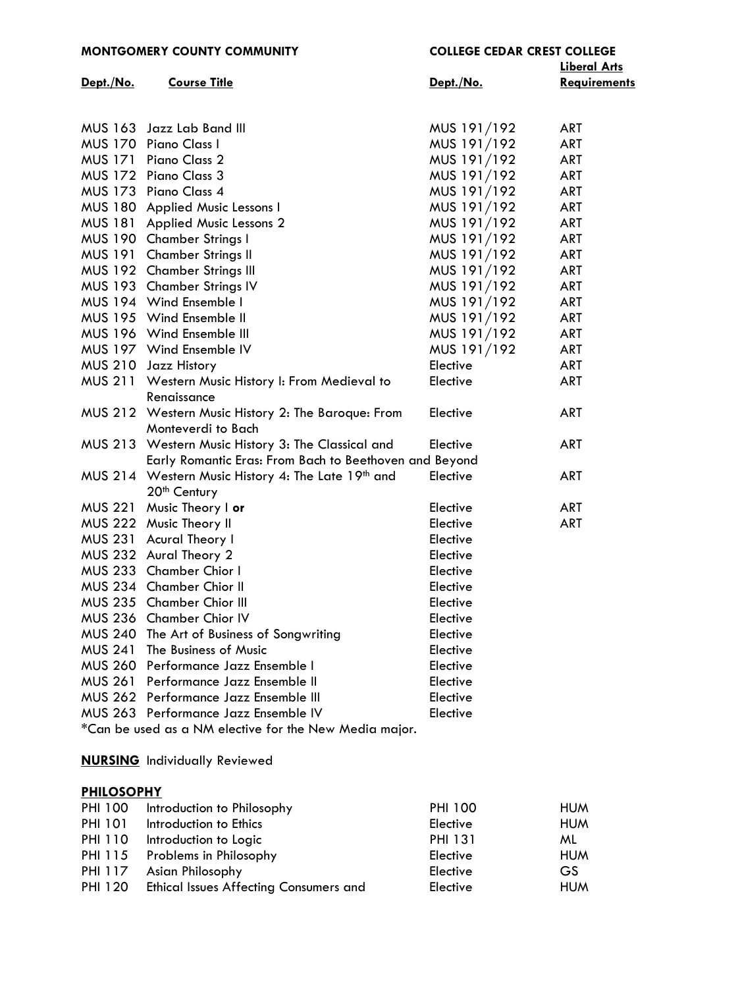|  | MONTGOMERY COUNTY COMMUNITY |  |  |
|--|-----------------------------|--|--|
|--|-----------------------------|--|--|

|           |                                                                |             | <b>Liberal Arts</b> |
|-----------|----------------------------------------------------------------|-------------|---------------------|
| Dept./No. | <b>Course Title</b>                                            | Dept./No.   | Requirements        |
|           |                                                                |             |                     |
|           | MUS 163 Jazz Lab Band III                                      | MUS 191/192 | <b>ART</b>          |
|           | MUS 170 Piano Class I                                          | MUS 191/192 | <b>ART</b>          |
|           | MUS 171 Piano Class 2                                          | MUS 191/192 | <b>ART</b>          |
|           | MUS 172 Piano Class 3                                          | MUS 191/192 | ART                 |
|           | MUS 173 Piano Class 4                                          | MUS 191/192 | ART                 |
|           | MUS 180 Applied Music Lessons I                                | MUS 191/192 | ART                 |
|           | MUS 181 Applied Music Lessons 2                                | MUS 191/192 | ART                 |
|           | MUS 190 Chamber Strings I                                      | MUS 191/192 | <b>ART</b>          |
|           | MUS 191 Chamber Strings II                                     | MUS 191/192 | ART                 |
|           | MUS 192 Chamber Strings III                                    | MUS 191/192 | ART                 |
|           | MUS 193 Chamber Strings IV                                     | MUS 191/192 | ART                 |
|           | MUS 194 Wind Ensemble I                                        | MUS 191/192 | ART                 |
|           | MUS 195 Wind Ensemble II                                       | MUS 191/192 | <b>ART</b>          |
|           | MUS 196 Wind Ensemble III                                      | MUS 191/192 | <b>ART</b>          |
|           | MUS 197 Wind Ensemble IV                                       | MUS 191/192 | <b>ART</b>          |
|           | MUS 210 Jazz History                                           | Elective    | ART                 |
|           | MUS 211 Western Music History I: From Medieval to              | Elective    | ART                 |
|           | Renaissance                                                    |             |                     |
|           | MUS 212 Western Music History 2: The Baroque: From             | Elective    | <b>ART</b>          |
|           | Monteverdi to Bach                                             |             |                     |
|           | MUS 213 Western Music History 3: The Classical and             | Elective    | <b>ART</b>          |
|           | Early Romantic Eras: From Bach to Beethoven and Beyond         |             |                     |
|           | MUS 214 Western Music History 4: The Late 19 <sup>th</sup> and | Elective    | <b>ART</b>          |
|           | 20 <sup>th</sup> Century                                       |             |                     |
|           | MUS 221 Music Theory I or                                      | Elective    | <b>ART</b>          |
|           | MUS 222 Music Theory II                                        | Elective    | <b>ART</b>          |
|           | MUS 231 Acural Theory I                                        | Elective    |                     |
|           | MUS 232 Aural Theory 2                                         | Elective    |                     |
|           | MUS 233 Chamber Chior I                                        | Elective    |                     |
|           | MUS 234 Chamber Chior II                                       | Elective    |                     |
|           | MUS 235 Chamber Chior III                                      | Elective    |                     |
|           | MUS 236 Chamber Chior IV                                       | Elective    |                     |
|           | MUS 240 The Art of Business of Songwriting                     | Elective    |                     |
|           | MUS 241 The Business of Music                                  | Elective    |                     |
|           | MUS 260 Performance Jazz Ensemble I                            | Elective    |                     |
|           | MUS 261 Performance Jazz Ensemble II                           | Elective    |                     |
|           | MUS 262 Performance Jazz Ensemble III                          | Elective    |                     |
|           | MUS 263 Performance Jazz Ensemble IV                           | Elective    |                     |
|           | *Can be used as a NM elective for the New Media major.         |             |                     |
|           |                                                                |             |                     |

**[NURSING](http://www.mc3.edu/academics/courses/1100-nur)** Individually Reviewed

# **[PHILOSOPHY](http://mc3.edu/academics/courses/1101-phi)**

| <b>PHI 100</b> | Introduction to Philosophy                    | <b>PHI 100</b> | <b>HUM</b> |
|----------------|-----------------------------------------------|----------------|------------|
| <b>PHI 101</b> | Introduction to Ethics                        | Elective       | <b>HUM</b> |
| <b>PHI 110</b> | Introduction to Logic                         | <b>PHI 131</b> | ML.        |
|                | PHI 115 Problems in Philosophy                | Elective       | <b>HUM</b> |
| PHI 117        | Asian Philosophy                              | Elective       | GS.        |
| <b>PHI 120</b> | <b>Ethical Issues Affecting Consumers and</b> | Elective       | <b>HUM</b> |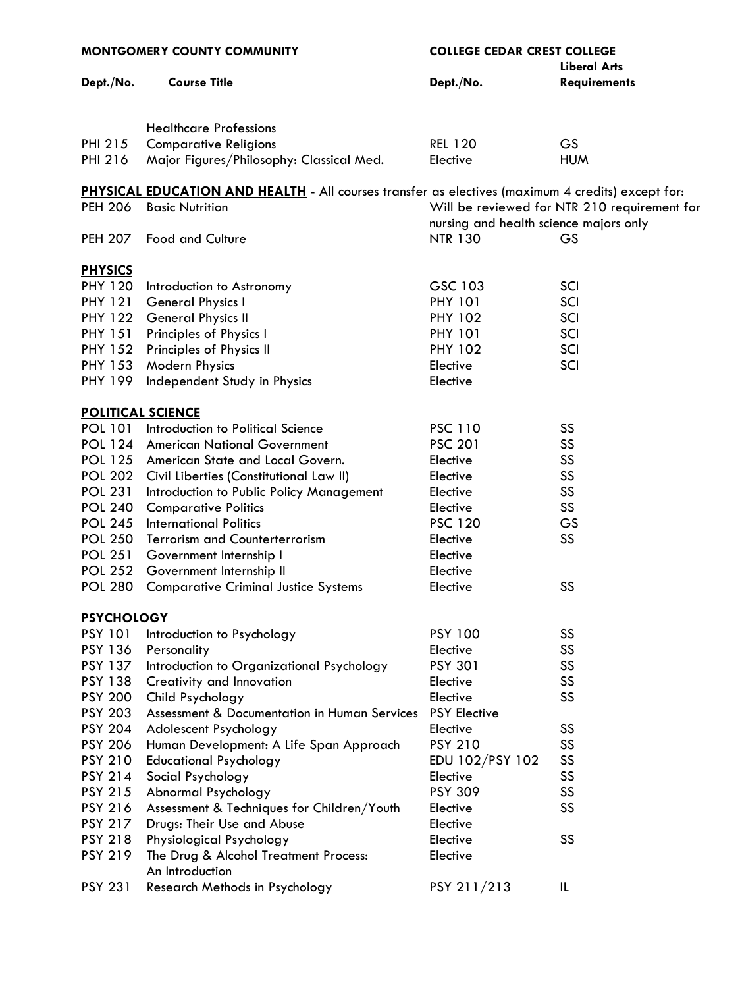| <b>MONTGOMERY COUNTY COMMUNITY</b> |                                                                                                   | <b>COLLEGE CEDAR CREST COLLEGE</b><br><b>Liberal Arts</b> |                                              |
|------------------------------------|---------------------------------------------------------------------------------------------------|-----------------------------------------------------------|----------------------------------------------|
| Dept./No.                          | <b>Course Title</b>                                                                               | Dept./No.                                                 | <b>Requirements</b>                          |
|                                    |                                                                                                   |                                                           |                                              |
|                                    |                                                                                                   |                                                           |                                              |
|                                    | <b>Healthcare Professions</b>                                                                     |                                                           |                                              |
| PHI 215                            | <b>Comparative Religions</b>                                                                      | <b>REL 120</b>                                            | <b>GS</b>                                    |
| <b>PHI 216</b>                     | Major Figures/Philosophy: Classical Med.                                                          | Elective                                                  | <b>HUM</b>                                   |
|                                    | PHYSICAL EDUCATION AND HEALTH - All courses transfer as electives (maximum 4 credits) except for: |                                                           |                                              |
| <b>PEH 206</b>                     | <b>Basic Nutrition</b>                                                                            |                                                           | Will be reviewed for NTR 210 requirement for |
|                                    |                                                                                                   | nursing and health science majors only                    |                                              |
| <b>PEH 207</b>                     | <b>Food and Culture</b>                                                                           | <b>NTR 130</b>                                            | GS                                           |
|                                    |                                                                                                   |                                                           |                                              |
| <b>PHYSICS</b>                     |                                                                                                   |                                                           |                                              |
| <b>PHY 120</b>                     | Introduction to Astronomy                                                                         | GSC 103                                                   | SCI                                          |
| <b>PHY 121</b>                     | General Physics I                                                                                 | <b>PHY 101</b>                                            | SCI                                          |
| <b>PHY 122</b>                     | <b>General Physics II</b>                                                                         | <b>PHY 102</b>                                            | SCI                                          |
| <b>PHY 151</b>                     | Principles of Physics I                                                                           | <b>PHY 101</b>                                            | SCI                                          |
| <b>PHY 152</b>                     | Principles of Physics II                                                                          | <b>PHY 102</b>                                            | SCI                                          |
| <b>PHY 153</b>                     | Modern Physics                                                                                    | Elective                                                  | SCI                                          |
| <b>PHY 199</b>                     | Independent Study in Physics                                                                      | Elective                                                  |                                              |
| <b>POLITICAL SCIENCE</b>           |                                                                                                   |                                                           |                                              |
| <b>POL 101</b>                     | Introduction to Political Science                                                                 | <b>PSC 110</b>                                            | SS                                           |
|                                    | POL 124 American National Government                                                              | <b>PSC 201</b>                                            | SS                                           |
|                                    | POL 125 American State and Local Govern.                                                          | Elective                                                  | SS                                           |
| <b>POL 202</b>                     | Civil Liberties (Constitutional Law II)                                                           | Elective                                                  | SS                                           |
| <b>POL 231</b>                     | Introduction to Public Policy Management                                                          | Elective                                                  | SS                                           |
| <b>POL 240</b>                     | <b>Comparative Politics</b>                                                                       | Elective                                                  | SS                                           |
| <b>POL 245</b>                     | <b>International Politics</b>                                                                     | <b>PSC 120</b>                                            | GS                                           |
| <b>POL 250</b>                     | <b>Terrorism and Counterterrorism</b>                                                             | Elective                                                  | SS                                           |
| <b>POL 251</b>                     | Government Internship I                                                                           | Elective                                                  |                                              |
| <b>POL 252</b>                     | Government Internship II                                                                          | Elective                                                  |                                              |
|                                    | POL 280 Comparative Criminal Justice Systems                                                      | Elective                                                  | r r<br>১১                                    |
| <b>PSYCHOLOGY</b>                  |                                                                                                   |                                                           |                                              |
| <b>PSY 101</b>                     | Introduction to Psychology                                                                        | <b>PSY 100</b>                                            | SS                                           |
| <b>PSY 136</b>                     | Personality                                                                                       | Elective                                                  | SS                                           |
| <b>PSY 137</b>                     | Introduction to Organizational Psychology                                                         | <b>PSY 301</b>                                            | SS                                           |
| <b>PSY 138</b>                     | Creativity and Innovation                                                                         | Elective                                                  | SS                                           |
| <b>PSY 200</b>                     | Child Psychology                                                                                  | Elective                                                  | SS                                           |
| <b>PSY 203</b>                     | Assessment & Documentation in Human Services                                                      | <b>PSY Elective</b>                                       |                                              |
| <b>PSY 204</b>                     | Adolescent Psychology                                                                             | Elective                                                  | SS                                           |
| <b>PSY 206</b>                     | Human Development: A Life Span Approach                                                           | <b>PSY 210</b>                                            | SS                                           |
| <b>PSY 210</b>                     | <b>Educational Psychology</b>                                                                     | EDU 102/PSY 102                                           | SS                                           |
| <b>PSY 214</b>                     | Social Psychology                                                                                 | Elective                                                  | SS                                           |
| <b>PSY 215</b>                     | Abnormal Psychology                                                                               | <b>PSY 309</b>                                            | SS                                           |
| <b>PSY 216</b>                     | Assessment & Techniques for Children/Youth                                                        | Elective                                                  | SS                                           |
| <b>PSY 217</b>                     | Drugs: Their Use and Abuse                                                                        | Elective                                                  |                                              |
| <b>PSY 218</b>                     | Physiological Psychology                                                                          | Elective                                                  | SS                                           |
| <b>PSY 219</b>                     | The Drug & Alcohol Treatment Process:<br>An Introduction                                          | Elective                                                  |                                              |
| <b>PSY 231</b>                     | Research Methods in Psychology                                                                    | PSY 211/213                                               | IL                                           |
|                                    |                                                                                                   |                                                           |                                              |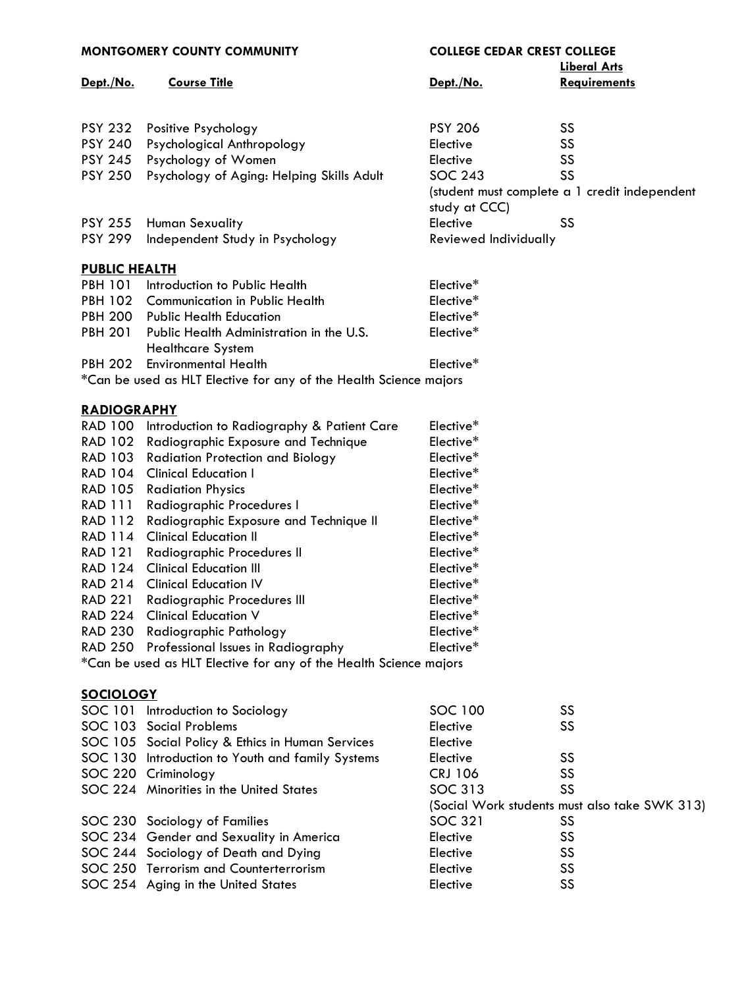| <b>MONTGOMERY COUNTY COMMUNITY</b> |                                                                   | <b>COLLEGE CEDAR CREST COLLEGE</b><br><b>Liberal Arts</b> |                                               |
|------------------------------------|-------------------------------------------------------------------|-----------------------------------------------------------|-----------------------------------------------|
| Dept./No.                          | <b>Course Title</b>                                               | Dept./No.                                                 | <b>Requirements</b>                           |
|                                    |                                                                   |                                                           |                                               |
|                                    |                                                                   |                                                           |                                               |
| <b>PSY 232</b>                     | Positive Psychology                                               | <b>PSY 206</b>                                            | SS                                            |
| <b>PSY 240</b>                     | Psychological Anthropology                                        | Elective                                                  | SS                                            |
| <b>PSY 245</b>                     | Psychology of Women                                               | Elective                                                  | SS                                            |
| <b>PSY 250</b>                     | Psychology of Aging: Helping Skills Adult                         | <b>SOC 243</b>                                            | SS                                            |
|                                    |                                                                   | study at CCC)                                             | (student must complete a 1 credit independent |
| <b>PSY 255</b>                     | <b>Human Sexuality</b>                                            | Elective                                                  | SS                                            |
| <b>PSY 299</b>                     | Independent Study in Psychology                                   | Reviewed Individually                                     |                                               |
| <b>PUBLIC HEALTH</b>               |                                                                   |                                                           |                                               |
| <b>PBH 101</b>                     | Introduction to Public Health                                     | Elective*                                                 |                                               |
|                                    | PBH 102 Communication in Public Health                            | Elective*                                                 |                                               |
| <b>PBH 200</b>                     | <b>Public Health Education</b>                                    | Elective*                                                 |                                               |
| <b>PBH 201</b>                     | Public Health Administration in the U.S.                          | Elective*                                                 |                                               |
|                                    | <b>Healthcare System</b>                                          |                                                           |                                               |
| <b>PBH 202</b>                     | <b>Environmental Health</b>                                       | Elective*                                                 |                                               |
|                                    | *Can be used as HLT Elective for any of the Health Science majors |                                                           |                                               |
|                                    |                                                                   |                                                           |                                               |
| <b>RADIOGRAPHY</b>                 |                                                                   |                                                           |                                               |
| <b>RAD 100</b>                     | Introduction to Radiography & Patient Care                        | Elective*                                                 |                                               |
| <b>RAD 102</b>                     | Radiographic Exposure and Technique                               | Elective*                                                 |                                               |
| RAD 103                            | <b>Radiation Protection and Biology</b>                           | Elective*                                                 |                                               |
| <b>RAD 104</b>                     | <b>Clinical Education I</b>                                       | Elective*                                                 |                                               |
| <b>RAD 105</b>                     | <b>Radiation Physics</b>                                          | Elective*                                                 |                                               |
| <b>RAD 111</b>                     | Radiographic Procedures I                                         | Elective*                                                 |                                               |
| <b>RAD 112</b>                     | Radiographic Exposure and Technique II                            | Elective*                                                 |                                               |
| <b>RAD 114</b>                     | <b>Clinical Education II</b>                                      | Elective*                                                 |                                               |
| RAD 121                            | Radiographic Procedures II                                        | Elective*                                                 |                                               |
| <b>RAD 124</b>                     | <b>Clinical Education III</b>                                     | Elective*                                                 |                                               |
|                                    | RAD 214 Clinical Education IV                                     | Elective*                                                 |                                               |
| <b>RAD 221</b>                     | Radiographic Procedures III                                       | Elective*                                                 |                                               |
| <b>RAD 224</b>                     | <b>Clinical Education V</b>                                       | Elective*                                                 |                                               |
| <b>RAD 230</b>                     | <b>Radiographic Pathology</b>                                     | Elective*                                                 |                                               |
|                                    | RAD 250 Professional Issues in Radiography                        | Elective*                                                 |                                               |
|                                    | *Can be used as HLT Elective for any of the Health Science majors |                                                           |                                               |
| <b>SOCIOLOGY</b>                   |                                                                   |                                                           |                                               |
|                                    | SOC 101 Introduction to Sociology                                 | SOC 100                                                   | SS                                            |
|                                    | SOC 103 Social Problems                                           | Elective                                                  | SS                                            |
|                                    | SOC 105 Social Policy & Ethics in Human Services                  | Elective                                                  |                                               |
|                                    | SOC 130 Introduction to Youth and family Systems                  | Elective                                                  | SS                                            |
|                                    | SOC 220 Criminology                                               | <b>CRJ 106</b>                                            | SS                                            |
|                                    | SOC 224 Minorities in the United States                           | SOC 313                                                   | SS                                            |
|                                    |                                                                   |                                                           | (Social Work students must also take SWK 313) |
|                                    | SOC 230 Sociology of Families                                     | <b>SOC 321</b>                                            | <b>SS</b>                                     |
|                                    | SOC 234 Gender and Sexuality in America                           | Elective                                                  | SS                                            |
|                                    | SOC 244 Sociology of Death and Dying                              | Elective                                                  | SS                                            |
|                                    | SOC 250 Terrorism and Counterterrorism                            | Elective                                                  | SS                                            |
|                                    | SOC 254 Aging in the United States                                | Elective                                                  | SS                                            |
|                                    |                                                                   |                                                           |                                               |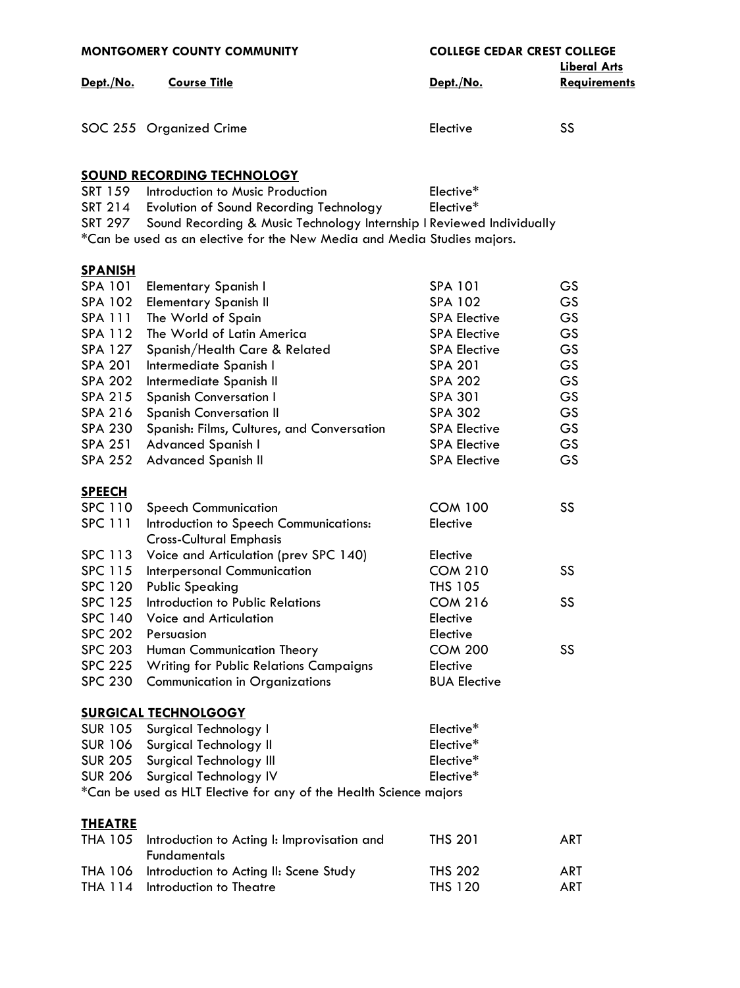| <b>MONTGOMERY COUNTY COMMUNITY</b> |                                                                         | <b>COLLEGE CEDAR CREST COLLEGE</b><br><b>Liberal Arts</b> |              |
|------------------------------------|-------------------------------------------------------------------------|-----------------------------------------------------------|--------------|
| Dept./No.                          | <b>Course Title</b>                                                     | Dept./No.                                                 | Requirements |
|                                    |                                                                         |                                                           |              |
|                                    | SOC 255 Organized Crime                                                 | Elective                                                  | SS           |
|                                    |                                                                         |                                                           |              |
|                                    | <b>SOUND RECORDING TECHNOLOGY</b>                                       |                                                           |              |
| SRT 159                            | Introduction to Music Production                                        | Elective*                                                 |              |
|                                    | SRT 214 Evolution of Sound Recording Technology                         | Elective*                                                 |              |
| SRT 297                            | Sound Recording & Music Technology Internship I Reviewed Individually   |                                                           |              |
|                                    | *Can be used as an elective for the New Media and Media Studies majors. |                                                           |              |
| <b>SPANISH</b>                     |                                                                         |                                                           |              |
| SPA 101                            | <b>Elementary Spanish I</b>                                             | <b>SPA 101</b>                                            | <b>GS</b>    |
| <b>SPA 102</b>                     | <b>Elementary Spanish II</b>                                            | <b>SPA 102</b>                                            | <b>GS</b>    |
| <b>SPA 111</b>                     | The World of Spain                                                      | <b>SPA Elective</b>                                       | GS           |
| <b>SPA 112</b>                     | The World of Latin America                                              | <b>SPA Elective</b>                                       | GS           |
| SPA 127                            | Spanish/Health Care & Related                                           | <b>SPA Elective</b>                                       | GS           |
| <b>SPA 201</b>                     | Intermediate Spanish I                                                  | <b>SPA 201</b>                                            | GS           |
| <b>SPA 202</b>                     | Intermediate Spanish II                                                 | <b>SPA 202</b>                                            | GS           |
| SPA 215                            | <b>Spanish Conversation I</b>                                           | <b>SPA 301</b>                                            | GS           |
| <b>SPA 216</b>                     | <b>Spanish Conversation II</b>                                          | <b>SPA 302</b>                                            | GS           |
| <b>SPA 230</b>                     | Spanish: Films, Cultures, and Conversation                              | <b>SPA Elective</b>                                       | GS           |
| <b>SPA 251</b>                     | Advanced Spanish I                                                      | <b>SPA Elective</b>                                       | GS           |
| <b>SPA 252</b>                     | <b>Advanced Spanish II</b>                                              | <b>SPA Elective</b>                                       | GS           |
| <b>SPEECH</b>                      |                                                                         |                                                           |              |
| <b>SPC 110</b>                     | <b>Speech Communication</b>                                             | <b>COM 100</b>                                            | SS           |
| <b>SPC 111</b>                     | Introduction to Speech Communications:                                  | Elective                                                  |              |
|                                    | <b>Cross-Cultural Emphasis</b>                                          |                                                           |              |
| <b>SPC 113</b>                     | Voice and Articulation (prev SPC 140)                                   | Elective                                                  |              |
| <b>SPC 115</b>                     | <b>Interpersonal Communication</b>                                      | <b>COM 210</b>                                            | SS           |
| <b>SPC 120</b>                     | <b>Public Speaking</b>                                                  | THS 105                                                   |              |
| <b>SPC 125</b>                     | Introduction to Public Relations                                        | <b>COM 216</b>                                            | SS           |
| <b>SPC 140</b>                     | Voice and Articulation                                                  | Elective                                                  |              |
| <b>SPC 202</b>                     | Persuasion                                                              | Elective                                                  |              |
| <b>SPC 203</b>                     | Human Communication Theory                                              | <b>COM 200</b>                                            | SS           |
| <b>SPC 225</b>                     | <b>Writing for Public Relations Campaigns</b>                           | Elective                                                  |              |
| <b>SPC 230</b>                     | <b>Communication in Organizations</b>                                   | <b>BUA Elective</b>                                       |              |
|                                    | <b>SURGICAL TECHNOLGOGY</b>                                             |                                                           |              |
|                                    | SUR 105 Surgical Technology I                                           | Elective*                                                 |              |
| <b>SUR 106</b>                     | Surgical Technology II                                                  | Elective*                                                 |              |
| <b>SUR 205</b>                     | Surgical Technology III                                                 | Elective*                                                 |              |
| <b>SUR 206</b>                     | Surgical Technology IV                                                  | Elective*                                                 |              |
|                                    | *Can be used as HLT Elective for any of the Health Science majors       |                                                           |              |
| <b>THEATRE</b>                     |                                                                         |                                                           |              |
| <b>THA 105</b>                     | Introduction to Acting I: Improvisation and                             | <b>THS 201</b>                                            | <b>ART</b>   |
|                                    | <b>Fundamentals</b>                                                     |                                                           |              |
| THA 106                            | Introduction to Acting II: Scene Study                                  | <b>THS 202</b>                                            | <b>ART</b>   |
| <b>THA 114</b>                     | Introduction to Theatre                                                 | <b>THS 120</b>                                            | ART          |
|                                    |                                                                         |                                                           |              |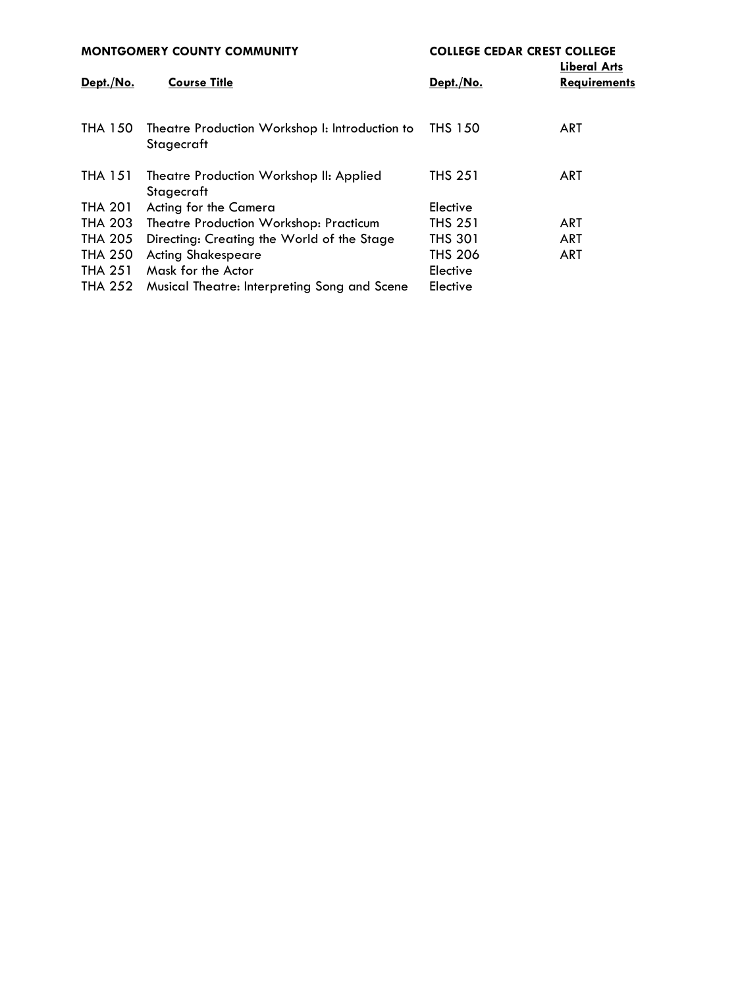| <b>MONTGOMERY COUNTY COMMUNITY</b>                           | <b>COLLEGE CEDAR CREST COLLEGE</b><br><b>Liberal Arts</b> |                     |
|--------------------------------------------------------------|-----------------------------------------------------------|---------------------|
| <b>Course Title</b>                                          | Dept./No.                                                 | <b>Requirements</b> |
| Theatre Production Workshop I: Introduction to<br>Stagecraft | THS 150                                                   | <b>ART</b>          |
| Theatre Production Workshop II: Applied<br>Stagecraft        | <b>THS 251</b>                                            | <b>ART</b>          |
| Acting for the Camera                                        | Elective                                                  |                     |
| Theatre Production Workshop: Practicum                       | <b>THS 251</b>                                            | <b>ART</b>          |
| Directing: Creating the World of the Stage                   | <b>THS 301</b>                                            | <b>ART</b>          |
| <b>Acting Shakespeare</b>                                    | <b>THS 206</b>                                            | ART                 |
| Mask for the Actor                                           | Elective                                                  |                     |
| Musical Theatre: Interpreting Song and Scene                 | Elective                                                  |                     |
|                                                              |                                                           |                     |